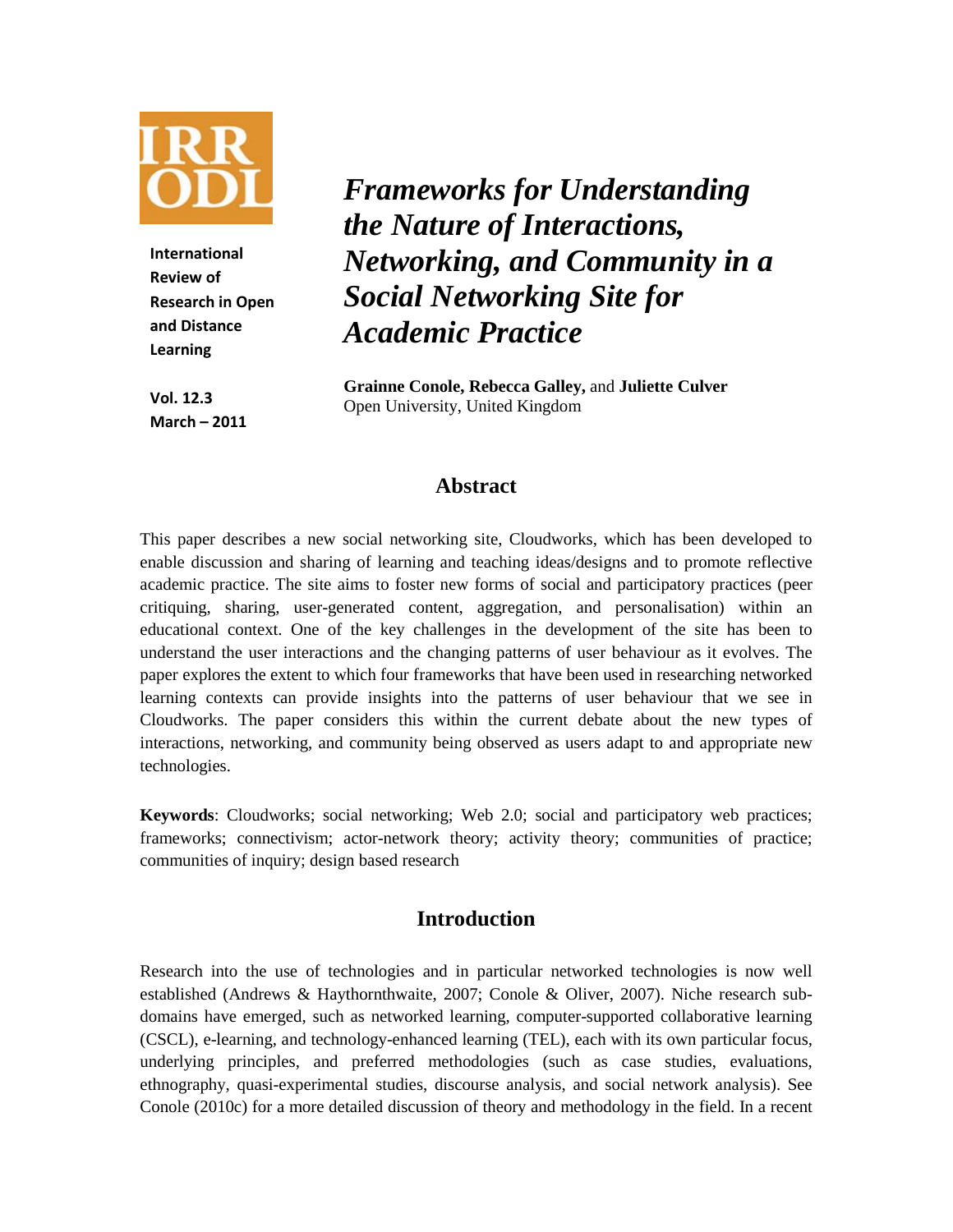

**International Review of Research in Open and Distance Learning** 

**Vol. 12.3 March – 2011** *Frameworks for Understanding the Nature of Interactions, Networking, and Community in a Social Networking Site for Academic Practice* 

**Grainne Conole, Rebecca Galley,** and **Juliette Culver** Open University, United Kingdom

#### **Abstract**

This paper describes a new social networking site, Cloudworks, which has been developed to enable discussion and sharing of learning and teaching ideas/designs and to promote reflective academic practice. The site aims to foster new forms of social and participatory practices (peer critiquing, sharing, user-generated content, aggregation, and personalisation) within an educational context. One of the key challenges in the development of the site has been to understand the user interactions and the changing patterns of user behaviour as it evolves. The paper explores the extent to which four frameworks that have been used in researching networked learning contexts can provide insights into the patterns of user behaviour that we see in Cloudworks. The paper considers this within the current debate about the new types of interactions, networking, and community being observed as users adapt to and appropriate new technologies.

**Keywords**: Cloudworks; social networking; Web 2.0; social and participatory web practices; frameworks; connectivism; actor-network theory; activity theory; communities of practice; communities of inquiry; design based research

### **Introduction**

Research into the use of technologies and in particular networked technologies is now well established (Andrews & Haythornthwaite, 2007; Conole & Oliver, 2007). Niche research subdomains have emerged, such as networked learning, computer-supported collaborative learning (CSCL), e-learning, and technology-enhanced learning (TEL), each with its own particular focus, underlying principles, and preferred methodologies (such as case studies, evaluations, ethnography, quasi-experimental studies, discourse analysis, and social network analysis). See Conole (2010c) for a more detailed discussion of theory and methodology in the field. In a recent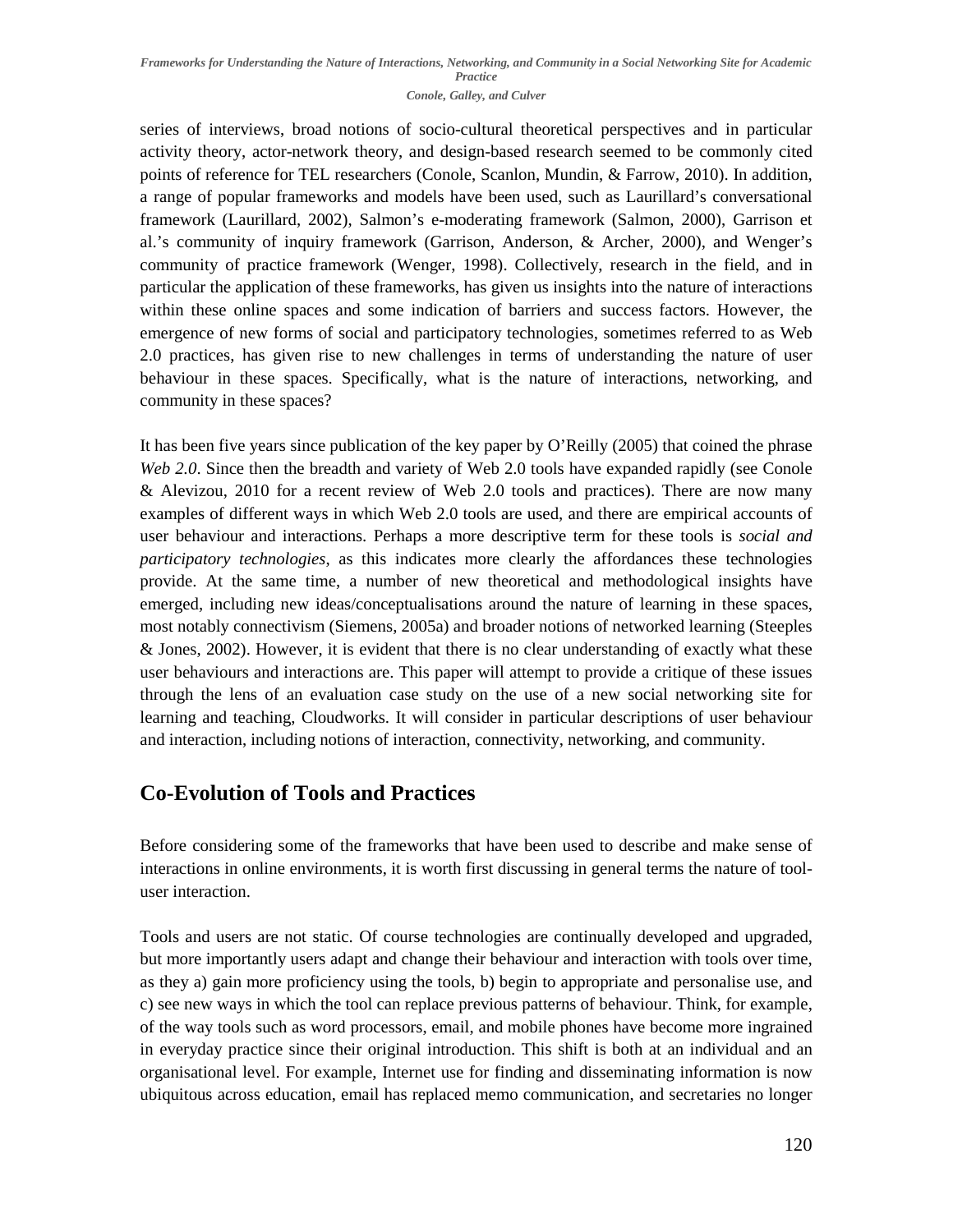series of interviews, broad notions of socio-cultural theoretical perspectives and in particular activity theory, actor-network theory, and design-based research seemed to be commonly cited points of reference for TEL researchers (Conole, Scanlon, Mundin, & Farrow, 2010). In addition, a range of popular frameworks and models have been used, such as Laurillard's conversational framework (Laurillard, 2002), Salmon's e-moderating framework (Salmon, 2000), Garrison et al.'s community of inquiry framework (Garrison, Anderson, & Archer, 2000), and Wenger's community of practice framework (Wenger, 1998). Collectively, research in the field, and in particular the application of these frameworks, has given us insights into the nature of interactions within these online spaces and some indication of barriers and success factors. However, the emergence of new forms of social and participatory technologies, sometimes referred to as Web 2.0 practices, has given rise to new challenges in terms of understanding the nature of user behaviour in these spaces. Specifically, what is the nature of interactions, networking, and community in these spaces?

It has been five years since publication of the key paper by O'Reilly (2005) that coined the phrase *Web 2.0*. Since then the breadth and variety of Web 2.0 tools have expanded rapidly (see Conole & Alevizou, 2010 for a recent review of Web 2.0 tools and practices). There are now many examples of different ways in which Web 2.0 tools are used, and there are empirical accounts of user behaviour and interactions. Perhaps a more descriptive term for these tools is *social and participatory technologies*, as this indicates more clearly the affordances these technologies provide. At the same time, a number of new theoretical and methodological insights have emerged, including new ideas/conceptualisations around the nature of learning in these spaces, most notably connectivism (Siemens, 2005a) and broader notions of networked learning (Steeples & Jones, 2002). However, it is evident that there is no clear understanding of exactly what these user behaviours and interactions are. This paper will attempt to provide a critique of these issues through the lens of an evaluation case study on the use of a new social networking site for learning and teaching, Cloudworks. It will consider in particular descriptions of user behaviour and interaction, including notions of interaction, connectivity, networking, and community.

### **Co-Evolution of Tools and Practices**

Before considering some of the frameworks that have been used to describe and make sense of interactions in online environments, it is worth first discussing in general terms the nature of tooluser interaction.

Tools and users are not static. Of course technologies are continually developed and upgraded, but more importantly users adapt and change their behaviour and interaction with tools over time, as they a) gain more proficiency using the tools, b) begin to appropriate and personalise use, and c) see new ways in which the tool can replace previous patterns of behaviour. Think, for example, of the way tools such as word processors, email, and mobile phones have become more ingrained in everyday practice since their original introduction. This shift is both at an individual and an organisational level. For example, Internet use for finding and disseminating information is now ubiquitous across education, email has replaced memo communication, and secretaries no longer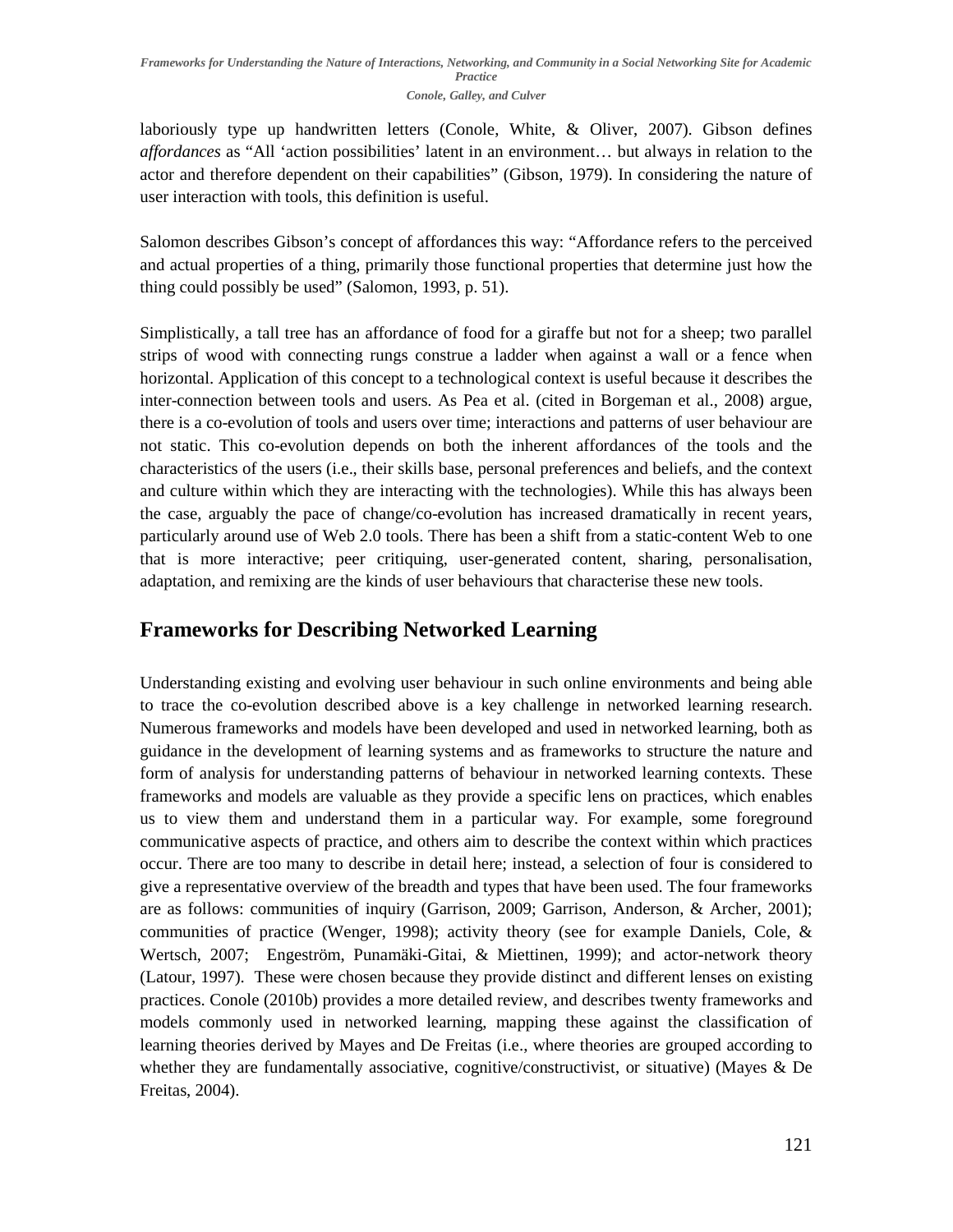laboriously type up handwritten letters (Conole, White, & Oliver, 2007). Gibson defines *affordances* as "All 'action possibilities' latent in an environment… but always in relation to the actor and therefore dependent on their capabilities" (Gibson, 1979). In considering the nature of user interaction with tools, this definition is useful.

Salomon describes Gibson's concept of affordances this way: "Affordance refers to the perceived and actual properties of a thing, primarily those functional properties that determine just how the thing could possibly be used" (Salomon, 1993, p. 51).

Simplistically, a tall tree has an affordance of food for a giraffe but not for a sheep; two parallel strips of wood with connecting rungs construe a ladder when against a wall or a fence when horizontal. Application of this concept to a technological context is useful because it describes the inter-connection between tools and users. As Pea et al. (cited in Borgeman et al., 2008) argue, there is a co-evolution of tools and users over time; interactions and patterns of user behaviour are not static. This co-evolution depends on both the inherent affordances of the tools and the characteristics of the users (i.e., their skills base, personal preferences and beliefs, and the context and culture within which they are interacting with the technologies). While this has always been the case, arguably the pace of change/co-evolution has increased dramatically in recent years, particularly around use of Web 2.0 tools. There has been a shift from a static-content Web to one that is more interactive; peer critiquing, user-generated content, sharing, personalisation, adaptation, and remixing are the kinds of user behaviours that characterise these new tools.

### **Frameworks for Describing Networked Learning**

Understanding existing and evolving user behaviour in such online environments and being able to trace the co-evolution described above is a key challenge in networked learning research. Numerous frameworks and models have been developed and used in networked learning, both as guidance in the development of learning systems and as frameworks to structure the nature and form of analysis for understanding patterns of behaviour in networked learning contexts. These frameworks and models are valuable as they provide a specific lens on practices, which enables us to view them and understand them in a particular way. For example, some foreground communicative aspects of practice, and others aim to describe the context within which practices occur. There are too many to describe in detail here; instead, a selection of four is considered to give a representative overview of the breadth and types that have been used. The four frameworks are as follows: communities of inquiry (Garrison, 2009; Garrison, Anderson, & Archer, 2001); communities of practice (Wenger, 1998); activity theory (see for example Daniels, Cole, & Wertsch, 2007; Engeström, Punamäki-Gitai, & Miettinen, 1999); and actor-network theory (Latour, 1997). These were chosen because they provide distinct and different lenses on existing practices. Conole (2010b) provides a more detailed review, and describes twenty frameworks and models commonly used in networked learning, mapping these against the classification of learning theories derived by Mayes and De Freitas (i.e., where theories are grouped according to whether they are fundamentally associative, cognitive/constructivist, or situative) (Mayes & De Freitas, 2004).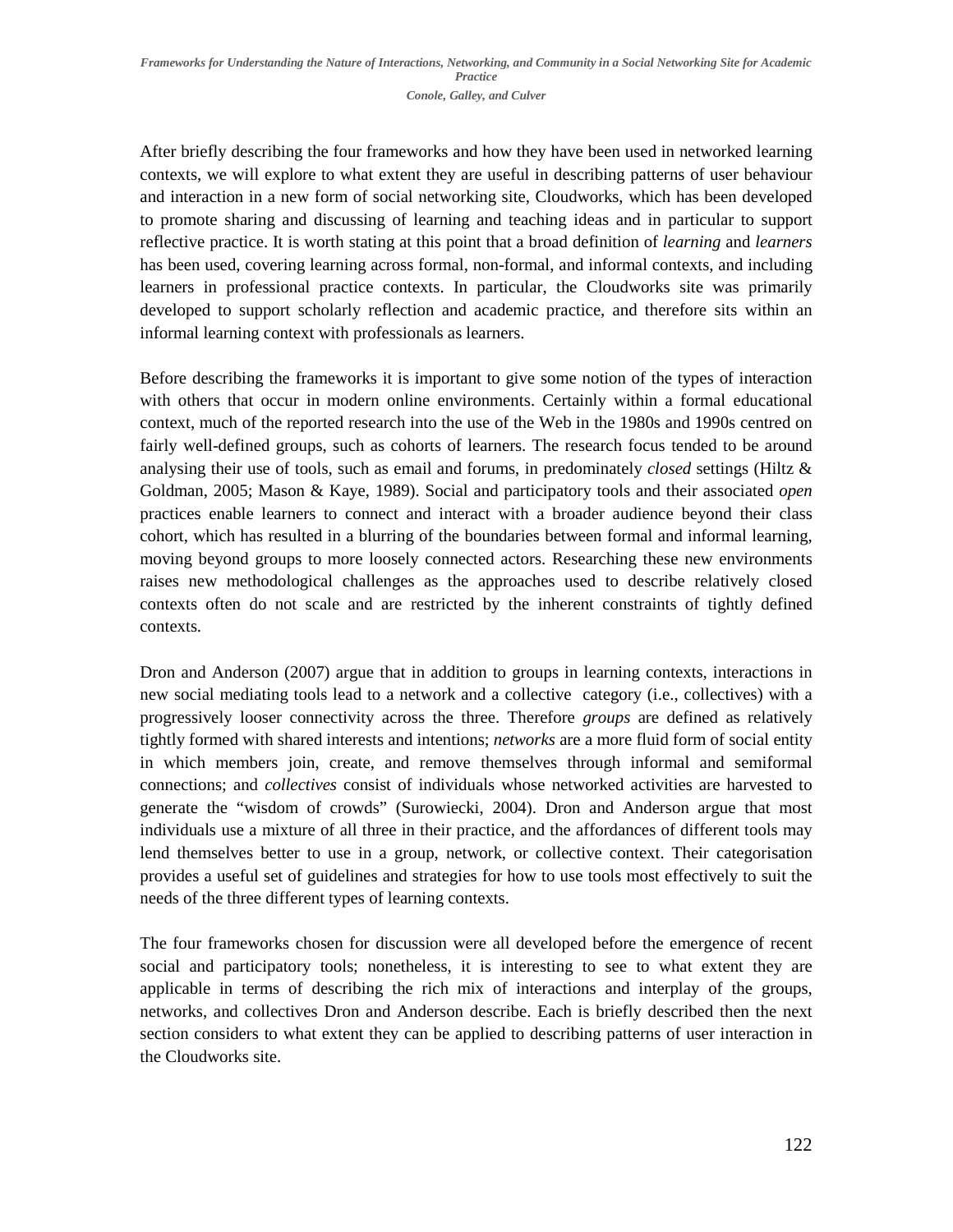After briefly describing the four frameworks and how they have been used in networked learning contexts, we will explore to what extent they are useful in describing patterns of user behaviour and interaction in a new form of social networking site, Cloudworks, which has been developed to promote sharing and discussing of learning and teaching ideas and in particular to support reflective practice. It is worth stating at this point that a broad definition of *learning* and *learners* has been used, covering learning across formal, non-formal, and informal contexts, and including learners in professional practice contexts. In particular, the Cloudworks site was primarily developed to support scholarly reflection and academic practice, and therefore sits within an informal learning context with professionals as learners.

Before describing the frameworks it is important to give some notion of the types of interaction with others that occur in modern online environments. Certainly within a formal educational context, much of the reported research into the use of the Web in the 1980s and 1990s centred on fairly well-defined groups, such as cohorts of learners. The research focus tended to be around analysing their use of tools, such as email and forums, in predominately *closed* settings (Hiltz & Goldman, 2005; Mason & Kaye, 1989). Social and participatory tools and their associated *open* practices enable learners to connect and interact with a broader audience beyond their class cohort, which has resulted in a blurring of the boundaries between formal and informal learning, moving beyond groups to more loosely connected actors. Researching these new environments raises new methodological challenges as the approaches used to describe relatively closed contexts often do not scale and are restricted by the inherent constraints of tightly defined contexts.

Dron and Anderson (2007) argue that in addition to groups in learning contexts, interactions in new social mediating tools lead to a network and a collective category (i.e., collectives) with a progressively looser connectivity across the three. Therefore *groups* are defined as relatively tightly formed with shared interests and intentions; *networks* are a more fluid form of social entity in which members join, create, and remove themselves through informal and semiformal connections; and *collectives* consist of individuals whose networked activities are harvested to generate the "wisdom of crowds" (Surowiecki, 2004). Dron and Anderson argue that most individuals use a mixture of all three in their practice, and the affordances of different tools may lend themselves better to use in a group, network, or collective context. Their categorisation provides a useful set of guidelines and strategies for how to use tools most effectively to suit the needs of the three different types of learning contexts.

The four frameworks chosen for discussion were all developed before the emergence of recent social and participatory tools; nonetheless, it is interesting to see to what extent they are applicable in terms of describing the rich mix of interactions and interplay of the groups, networks, and collectives Dron and Anderson describe. Each is briefly described then the next section considers to what extent they can be applied to describing patterns of user interaction in the Cloudworks site.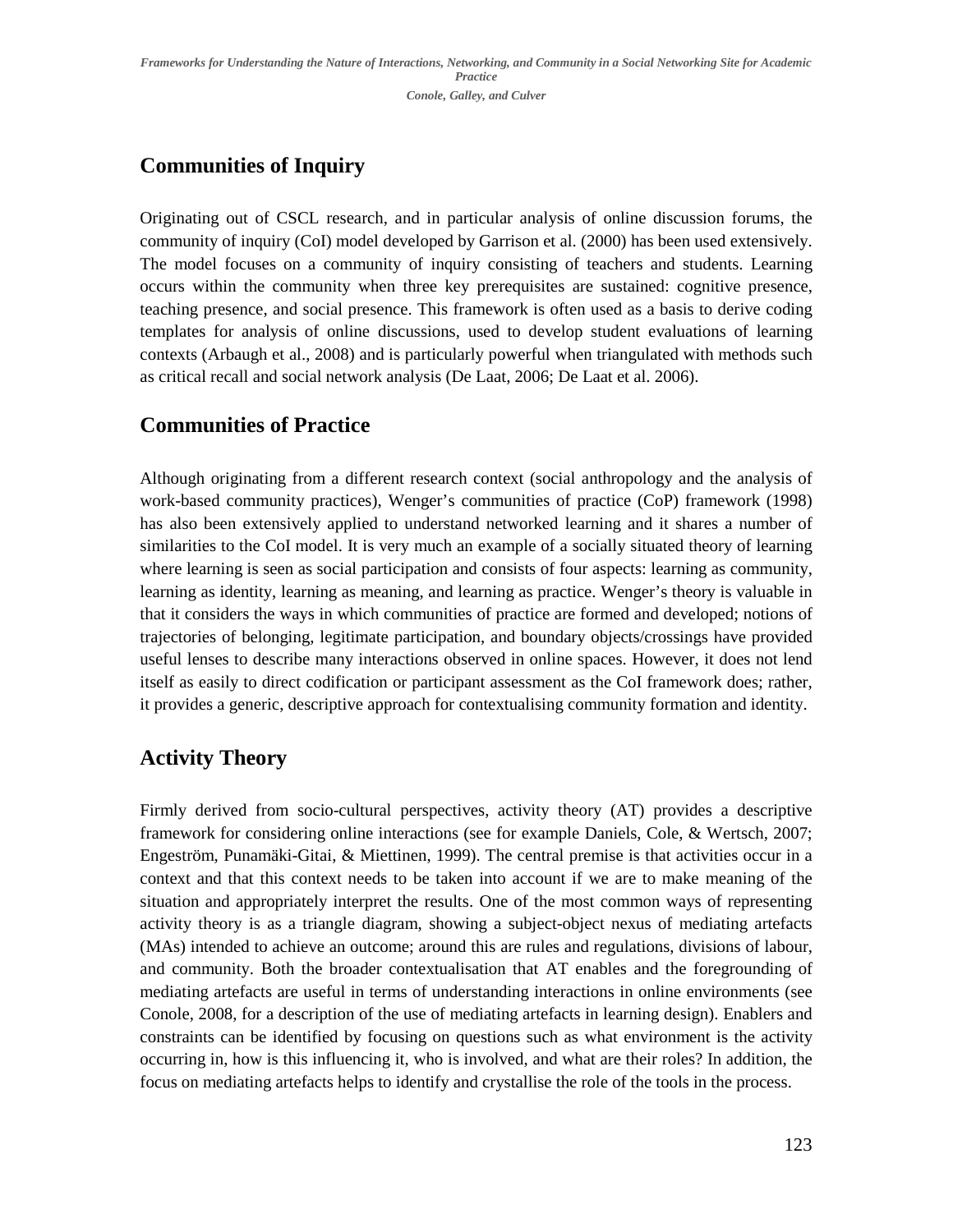# **Communities of Inquiry**

Originating out of CSCL research, and in particular analysis of online discussion forums, the community of inquiry (CoI) model developed by Garrison et al. (2000) has been used extensively. The model focuses on a community of inquiry consisting of teachers and students. Learning occurs within the community when three key prerequisites are sustained: cognitive presence, teaching presence, and social presence. This framework is often used as a basis to derive coding templates for analysis of online discussions, used to develop student evaluations of learning contexts (Arbaugh et al., 2008) and is particularly powerful when triangulated with methods such as critical recall and social network analysis (De Laat, 2006; De Laat et al. 2006).

# **Communities of Practice**

Although originating from a different research context (social anthropology and the analysis of work-based community practices), Wenger's communities of practice (CoP) framework (1998) has also been extensively applied to understand networked learning and it shares a number of similarities to the CoI model. It is very much an example of a socially situated theory of learning where learning is seen as social participation and consists of four aspects: learning as community, learning as identity, learning as meaning, and learning as practice. Wenger's theory is valuable in that it considers the ways in which communities of practice are formed and developed; notions of trajectories of belonging, legitimate participation, and boundary objects/crossings have provided useful lenses to describe many interactions observed in online spaces. However, it does not lend itself as easily to direct codification or participant assessment as the CoI framework does; rather, it provides a generic, descriptive approach for contextualising community formation and identity.

## **Activity Theory**

Firmly derived from socio-cultural perspectives, activity theory (AT) provides a descriptive framework for considering online interactions (see for example Daniels, Cole, & Wertsch, 2007; Engeström, Punamäki-Gitai, & Miettinen, 1999). The central premise is that activities occur in a context and that this context needs to be taken into account if we are to make meaning of the situation and appropriately interpret the results. One of the most common ways of representing activity theory is as a triangle diagram, showing a subject-object nexus of mediating artefacts (MAs) intended to achieve an outcome; around this are rules and regulations, divisions of labour, and community. Both the broader contextualisation that AT enables and the foregrounding of mediating artefacts are useful in terms of understanding interactions in online environments (see Conole, 2008, for a description of the use of mediating artefacts in learning design). Enablers and constraints can be identified by focusing on questions such as what environment is the activity occurring in, how is this influencing it, who is involved, and what are their roles? In addition, the focus on mediating artefacts helps to identify and crystallise the role of the tools in the process.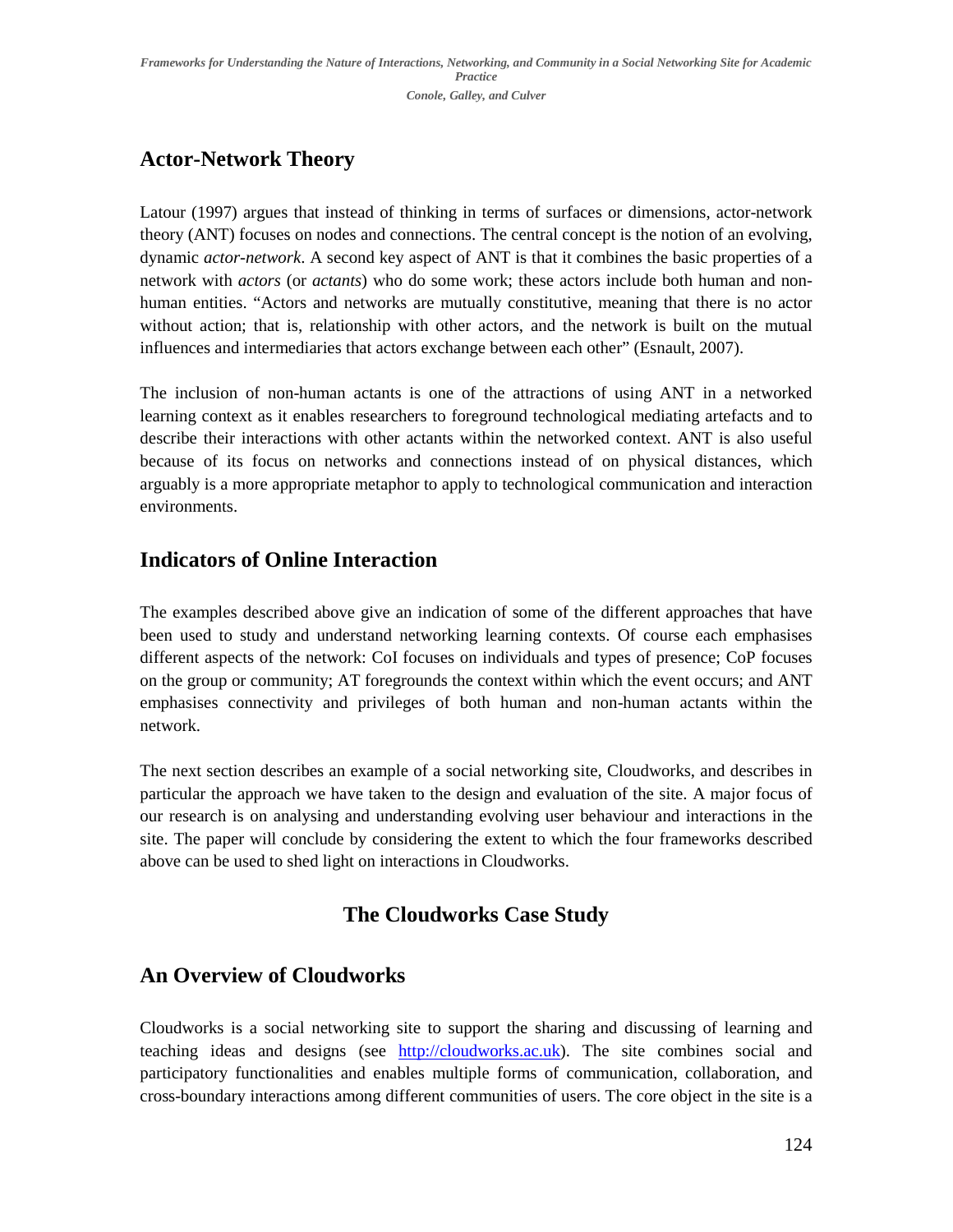## **Actor-Network Theory**

Latour (1997) argues that instead of thinking in terms of surfaces or dimensions, actor-network theory (ANT) focuses on nodes and connections. The central concept is the notion of an evolving, dynamic *actor-network*. A second key aspect of ANT is that it combines the basic properties of a network with *actors* (or *actants*) who do some work; these actors include both human and nonhuman entities. "Actors and networks are mutually constitutive, meaning that there is no actor without action; that is, relationship with other actors, and the network is built on the mutual influences and intermediaries that actors exchange between each other" (Esnault, 2007).

The inclusion of non-human actants is one of the attractions of using ANT in a networked learning context as it enables researchers to foreground technological mediating artefacts and to describe their interactions with other actants within the networked context. ANT is also useful because of its focus on networks and connections instead of on physical distances, which arguably is a more appropriate metaphor to apply to technological communication and interaction environments.

## **Indicators of Online Interaction**

The examples described above give an indication of some of the different approaches that have been used to study and understand networking learning contexts. Of course each emphasises different aspects of the network: CoI focuses on individuals and types of presence; CoP focuses on the group or community; AT foregrounds the context within which the event occurs; and ANT emphasises connectivity and privileges of both human and non-human actants within the network.

The next section describes an example of a social networking site, Cloudworks, and describes in particular the approach we have taken to the design and evaluation of the site. A major focus of our research is on analysing and understanding evolving user behaviour and interactions in the site. The paper will conclude by considering the extent to which the four frameworks described above can be used to shed light on interactions in Cloudworks.

# **The Cloudworks Case Study**

### **An Overview of Cloudworks**

Cloudworks is a social networking site to support the sharing and discussing of learning and teaching ideas and designs (see [http://cloudworks.ac.uk\)](http://cloudworks.ac.uk/). The site combines social and participatory functionalities and enables multiple forms of communication, collaboration, and cross-boundary interactions among different communities of users. The core object in the site is a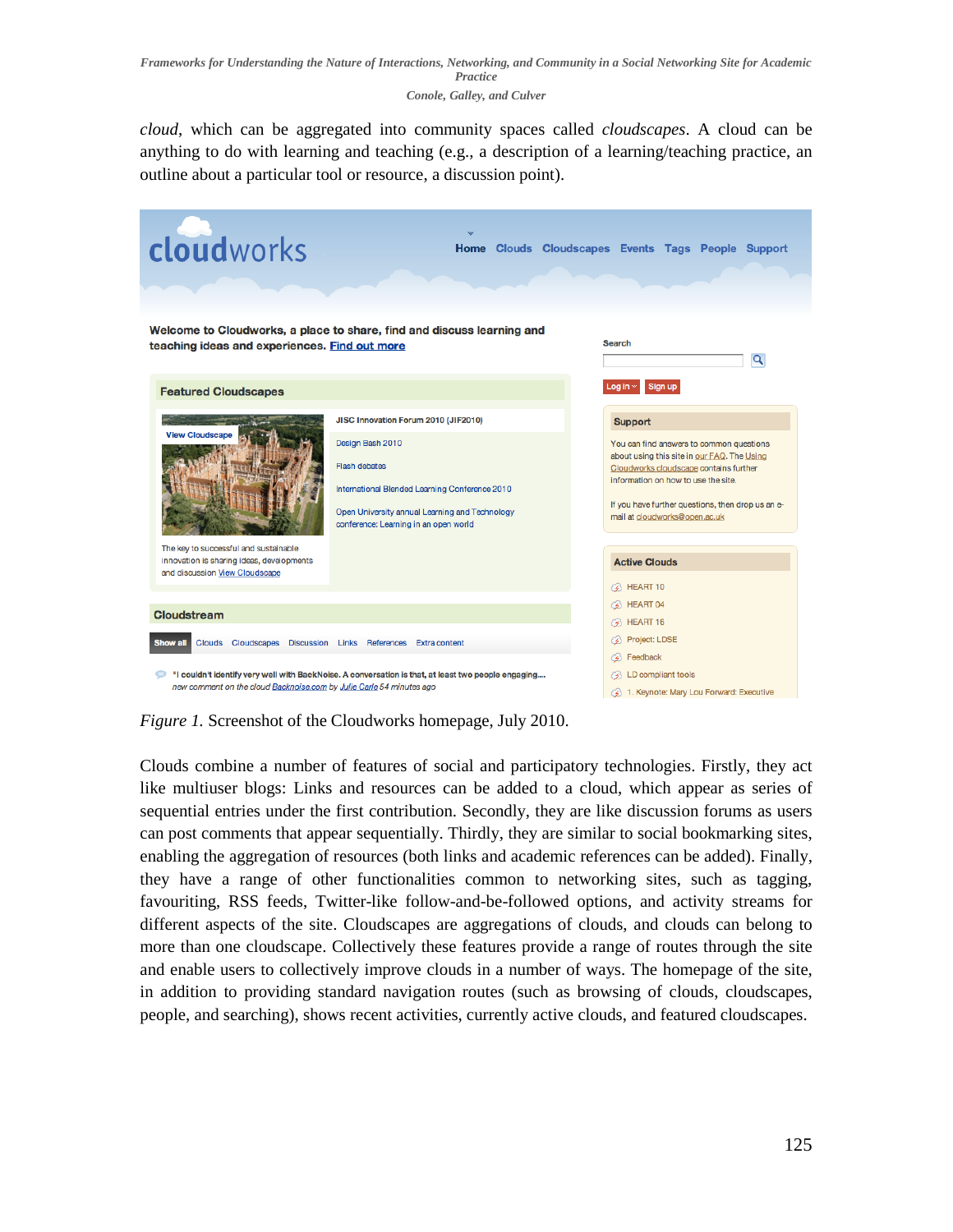*cloud*, which can be aggregated into community spaces called *cloudscapes*. A cloud can be anything to do with learning and teaching (e.g., a description of a learning/teaching practice, an outline about a particular tool or resource, a discussion point).

| cloudworks                                                                                                                                                                  |                                                                                                                                                                                                                               | Home Clouds Cloudscapes Events Tags People Support                                                                                                                                                                                                                               |
|-----------------------------------------------------------------------------------------------------------------------------------------------------------------------------|-------------------------------------------------------------------------------------------------------------------------------------------------------------------------------------------------------------------------------|----------------------------------------------------------------------------------------------------------------------------------------------------------------------------------------------------------------------------------------------------------------------------------|
| Welcome to Cloudworks, a place to share, find and discuss learning and<br>teaching ideas and experiences. Find out more                                                     | <b>Search</b><br>$\alpha$                                                                                                                                                                                                     |                                                                                                                                                                                                                                                                                  |
| <b>Featured Cloudscapes</b>                                                                                                                                                 | Sign up<br>Log in $\mathbb{R}$                                                                                                                                                                                                |                                                                                                                                                                                                                                                                                  |
| <b>View Cloudscape</b>                                                                                                                                                      | JISC Innovation Forum 2010 (JIF2010)<br>Design Bash 2010<br><b>Flash debates</b><br>International Blended Learning Conference 2010<br>Open University annual Learning and Technology<br>conference: Learning in an open world | <b>Support</b><br>You can find answers to common questions<br>about using this site in our FAQ. The Using<br>Cloudworks cloudscape contains further<br>information on how to use the site.<br>If you have further questions, then drop us an e-<br>mail at cloudworks@open.ac.uk |
| The key to successful and sustainable<br>innovation is sharing ideas, developments<br>and discussion View Cloudscape                                                        |                                                                                                                                                                                                                               | <b>Active Clouds</b>                                                                                                                                                                                                                                                             |
| Cloudstream                                                                                                                                                                 |                                                                                                                                                                                                                               | <b>4 HEART 10</b><br>(4) HEART 04<br>$(2)$ HEART 16                                                                                                                                                                                                                              |
| Show all                                                                                                                                                                    | Clouds Cloudscapes Discussion Links References Extra content                                                                                                                                                                  | Project: LDSE<br>65<br>(4) Feedback                                                                                                                                                                                                                                              |
| "I couldn't identify very well with BackNoise. A conversation is that, at least two people engaging<br>new comment on the cloud Backnoise.com by Julie Carle 54 minutes ago | (4) LD compliant tools<br>4 1. Keynote: Mary Lou Forward: Executive                                                                                                                                                           |                                                                                                                                                                                                                                                                                  |

*Figure 1.* Screenshot of the Cloudworks homepage, July 2010.

Clouds combine a number of features of social and participatory technologies. Firstly, they act like multiuser blogs: Links and resources can be added to a cloud, which appear as series of sequential entries under the first contribution. Secondly, they are like discussion forums as users can post comments that appear sequentially. Thirdly, they are similar to social bookmarking sites, enabling the aggregation of resources (both links and academic references can be added). Finally, they have a range of other functionalities common to networking sites, such as tagging, favouriting, RSS feeds, Twitter-like follow-and-be-followed options, and activity streams for different aspects of the site. Cloudscapes are aggregations of clouds, and clouds can belong to more than one cloudscape. Collectively these features provide a range of routes through the site and enable users to collectively improve clouds in a number of ways. The homepage of the site, in addition to providing standard navigation routes (such as browsing of clouds, cloudscapes, people, and searching), shows recent activities, currently active clouds, and featured cloudscapes.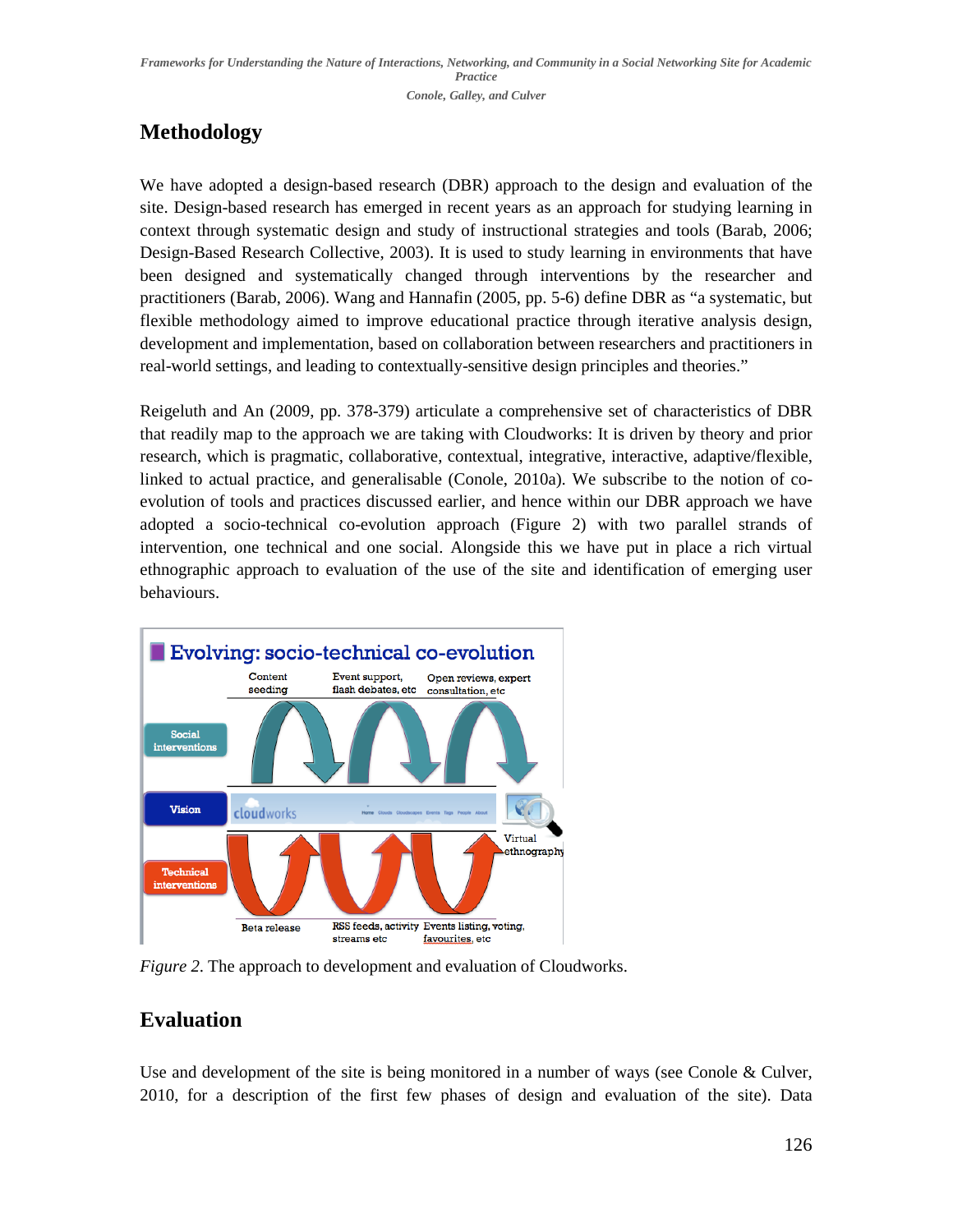# **Methodology**

We have adopted a design-based research (DBR) approach to the design and evaluation of the site. Design-based research has emerged in recent years as an approach for studying learning in context through systematic design and study of instructional strategies and tools (Barab, 2006; Design-Based Research Collective, 2003). It is used to study learning in environments that have been designed and systematically changed through interventions by the researcher and practitioners (Barab, 2006). Wang and Hannafin (2005, pp. 5-6) define DBR as "a systematic, but flexible methodology aimed to improve educational practice through iterative analysis design, development and implementation, based on collaboration between researchers and practitioners in real-world settings, and leading to contextually-sensitive design principles and theories."

Reigeluth and An (2009, pp. 378-379) articulate a comprehensive set of characteristics of DBR that readily map to the approach we are taking with Cloudworks: It is driven by theory and prior research, which is pragmatic, collaborative, contextual, integrative, interactive, adaptive/flexible, linked to actual practice, and generalisable (Conole, 2010a). We subscribe to the notion of coevolution of tools and practices discussed earlier, and hence within our DBR approach we have adopted a socio-technical co-evolution approach (Figure 2) with two parallel strands of intervention, one technical and one social. Alongside this we have put in place a rich virtual ethnographic approach to evaluation of the use of the site and identification of emerging user behaviours.



*Figure 2*. The approach to development and evaluation of Cloudworks.

# **Evaluation**

Use and development of the site is being monitored in a number of ways (see Conole & Culver, 2010, for a description of the first few phases of design and evaluation of the site). Data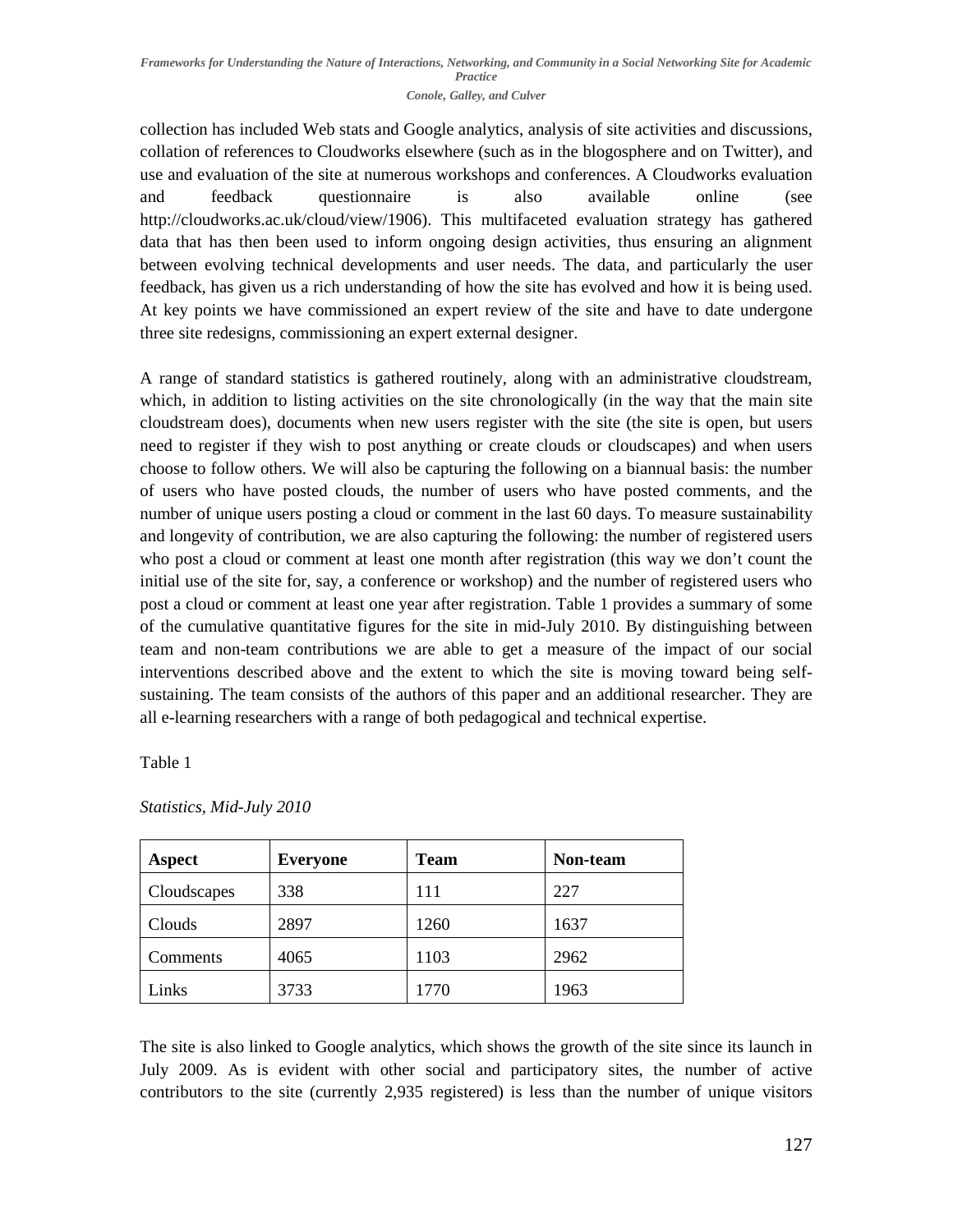collection has included Web stats and Google analytics, analysis of site activities and discussions, collation of references to Cloudworks elsewhere (such as in the blogosphere and on Twitter), and use and evaluation of the site at numerous workshops and conferences. A Cloudworks evaluation and feedback questionnaire is also available online (see http://cloudworks.ac.uk/cloud/view/1906). This multifaceted evaluation strategy has gathered data that has then been used to inform ongoing design activities, thus ensuring an alignment between evolving technical developments and user needs. The data, and particularly the user feedback, has given us a rich understanding of how the site has evolved and how it is being used. At key points we have commissioned an expert review of the site and have to date undergone three site redesigns, commissioning an expert external designer.

A range of standard statistics is gathered routinely, along with an administrative cloudstream, which, in addition to listing activities on the site chronologically (in the way that the main site cloudstream does), documents when new users register with the site (the site is open, but users need to register if they wish to post anything or create clouds or cloudscapes) and when users choose to follow others. We will also be capturing the following on a biannual basis: the number of users who have posted clouds, the number of users who have posted comments, and the number of unique users posting a cloud or comment in the last 60 days. To measure sustainability and longevity of contribution, we are also capturing the following: the number of registered users who post a cloud or comment at least one month after registration (this way we don't count the initial use of the site for, say, a conference or workshop) and the number of registered users who post a cloud or comment at least one year after registration. Table 1 provides a summary of some of the cumulative quantitative figures for the site in mid-July 2010. By distinguishing between team and non-team contributions we are able to get a measure of the impact of our social interventions described above and the extent to which the site is moving toward being selfsustaining. The team consists of the authors of this paper and an additional researcher. They are all e-learning researchers with a range of both pedagogical and technical expertise.

#### Table 1

| <b>Aspect</b> | <b>Everyone</b> | <b>Team</b> | Non-team |
|---------------|-----------------|-------------|----------|
| Cloudscapes   | 338             | 111         | 227      |
| Clouds        | 2897            | 1260        | 1637     |
| Comments      | 4065            | 1103        | 2962     |
| Links         | 3733            | 1770        | 1963     |

The site is also linked to Google analytics, which shows the growth of the site since its launch in July 2009. As is evident with other social and participatory sites, the number of active contributors to the site (currently 2,935 registered) is less than the number of unique visitors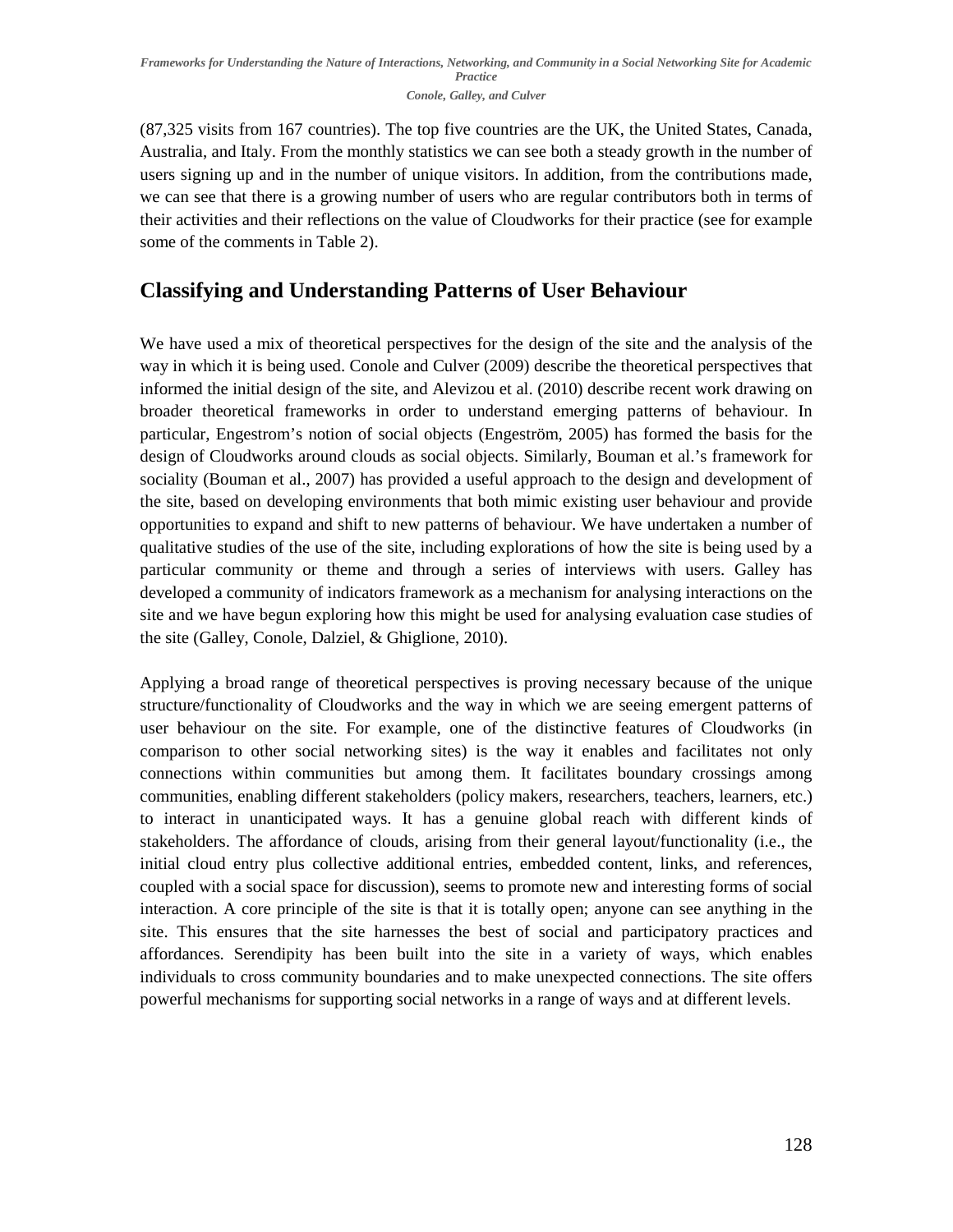(87,325 visits from 167 countries). The top five countries are the UK, the United States, Canada, Australia, and Italy. From the monthly statistics we can see both a steady growth in the number of users signing up and in the number of unique visitors. In addition, from the contributions made, we can see that there is a growing number of users who are regular contributors both in terms of their activities and their reflections on the value of Cloudworks for their practice (see for example some of the comments in Table 2).

## **Classifying and Understanding Patterns of User Behaviour**

We have used a mix of theoretical perspectives for the design of the site and the analysis of the way in which it is being used. Conole and Culver (2009) describe the theoretical perspectives that informed the initial design of the site, and Alevizou et al. (2010) describe recent work drawing on broader theoretical frameworks in order to understand emerging patterns of behaviour. In particular, Engestrom's notion of social objects (Engeström, 2005) has formed the basis for the design of Cloudworks around clouds as social objects. Similarly, Bouman et al.'s framework for sociality (Bouman et al., 2007) has provided a useful approach to the design and development of the site, based on developing environments that both mimic existing user behaviour and provide opportunities to expand and shift to new patterns of behaviour. We have undertaken a number of qualitative studies of the use of the site, including explorations of how the site is being used by a particular community or theme and through a series of interviews with users. Galley has developed a community of indicators framework as a mechanism for analysing interactions on the site and we have begun exploring how this might be used for analysing evaluation case studies of the site (Galley, Conole, Dalziel, & Ghiglione, 2010).

Applying a broad range of theoretical perspectives is proving necessary because of the unique structure/functionality of Cloudworks and the way in which we are seeing emergent patterns of user behaviour on the site. For example, one of the distinctive features of Cloudworks (in comparison to other social networking sites) is the way it enables and facilitates not only connections within communities but among them. It facilitates boundary crossings among communities, enabling different stakeholders (policy makers, researchers, teachers, learners, etc.) to interact in unanticipated ways. It has a genuine global reach with different kinds of stakeholders. The affordance of clouds, arising from their general layout/functionality (i.e., the initial cloud entry plus collective additional entries, embedded content, links, and references, coupled with a social space for discussion), seems to promote new and interesting forms of social interaction. A core principle of the site is that it is totally open; anyone can see anything in the site. This ensures that the site harnesses the best of social and participatory practices and affordances. Serendipity has been built into the site in a variety of ways, which enables individuals to cross community boundaries and to make unexpected connections. The site offers powerful mechanisms for supporting social networks in a range of ways and at different levels.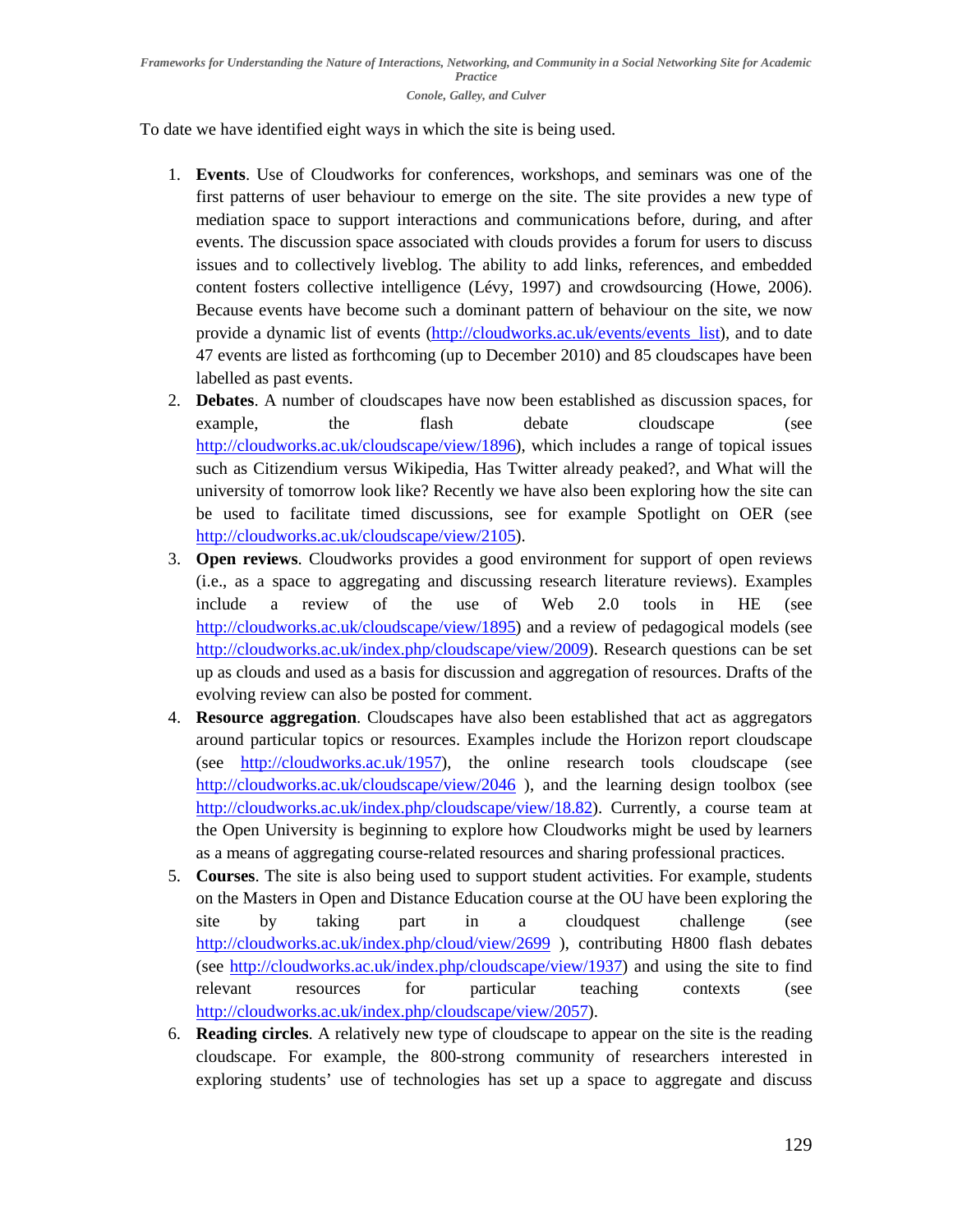To date we have identified eight ways in which the site is being used.

- 1. **Events**. Use of Cloudworks for conferences, workshops, and seminars was one of the first patterns of user behaviour to emerge on the site. The site provides a new type of mediation space to support interactions and communications before, during, and after events. The discussion space associated with clouds provides a forum for users to discuss issues and to collectively liveblog. The ability to add links, references, and embedded content fosters collective intelligence (Lévy, 1997) and crowdsourcing (Howe, 2006). Because events have become such a dominant pattern of behaviour on the site, we now provide a dynamic list of events [\(http://cloudworks.ac.uk/events/events\\_list\)](http://cloudworks.ac.uk/events/events_list), and to date 47 events are listed as forthcoming (up to December 2010) and 85 cloudscapes have been labelled as past events.
- 2. **Debates**. A number of cloudscapes have now been established as discussion spaces, for example, the flash debate cloudscape (see [http://cloudworks.ac.uk/cloudscape/view/1896\)](http://cloudworks.ac.uk/cloudscape/view/1896), which includes a range of topical issues such as Citizendium versus Wikipedia, Has Twitter already peaked?, and What will the university of tomorrow look like? Recently we have also been exploring how the site can be used to facilitate timed discussions, see for example Spotlight on OER (see [http://cloudworks.ac.uk/cloudscape/view/2105\)](http://cloudworks.ac.uk/cloudscape/view/2105).
- 3. **Open reviews**. Cloudworks provides a good environment for support of open reviews (i.e., as a space to aggregating and discussing research literature reviews). Examples include a review of the use of Web 2.0 tools in HE (see [http://cloudworks.ac.uk/cloudscape/view/1895\)](http://cloudworks.ac.uk/cloudscape/view/1895) and a review of pedagogical models (see [http://cloudworks.ac.uk/index.php/cloudscape/view/2009\)](http://cloudworks.ac.uk/index.php/cloudscape/view/2009). Research questions can be set up as clouds and used as a basis for discussion and aggregation of resources. Drafts of the evolving review can also be posted for comment.
- 4. **Resource aggregation**. Cloudscapes have also been established that act as aggregators around particular topics or resources. Examples include the Horizon report cloudscape (see [http://cloudworks.ac.uk/1957\)](http://cloudworks.ac.uk/1957), the online research tools cloudscape (see <http://cloudworks.ac.uk/cloudscape/view/2046>), and the learning design toolbox (see [http://cloudworks.ac.uk/index.php/cloudscape/view/18.82\)](http://cloudworks.ac.uk/index.php/cloudscape/view/18.82). Currently, a course team at the Open University is beginning to explore how Cloudworks might be used by learners as a means of aggregating course-related resources and sharing professional practices.
- 5. **Courses**. The site is also being used to support student activities. For example, students on the Masters in Open and Distance Education course at the OU have been exploring the site by taking part in a cloudquest challenge (see <http://cloudworks.ac.uk/index.php/cloud/view/2699> ), contributing H800 flash debates (see [http://cloudworks.ac.uk/index.php/cloudscape/view/1937\)](http://cloudworks.ac.uk/index.php/cloudscape/view/1937) and using the site to find relevant resources for particular teaching contexts (see [http://cloudworks.ac.uk/index.php/cloudscape/view/2057\)](http://cloudworks.ac.uk/index.php/cloudscape/view/2057).
- 6. **Reading circles**. A relatively new type of cloudscape to appear on the site is the reading cloudscape. For example, the 800-strong community of researchers interested in exploring students' use of technologies has set up a space to aggregate and discuss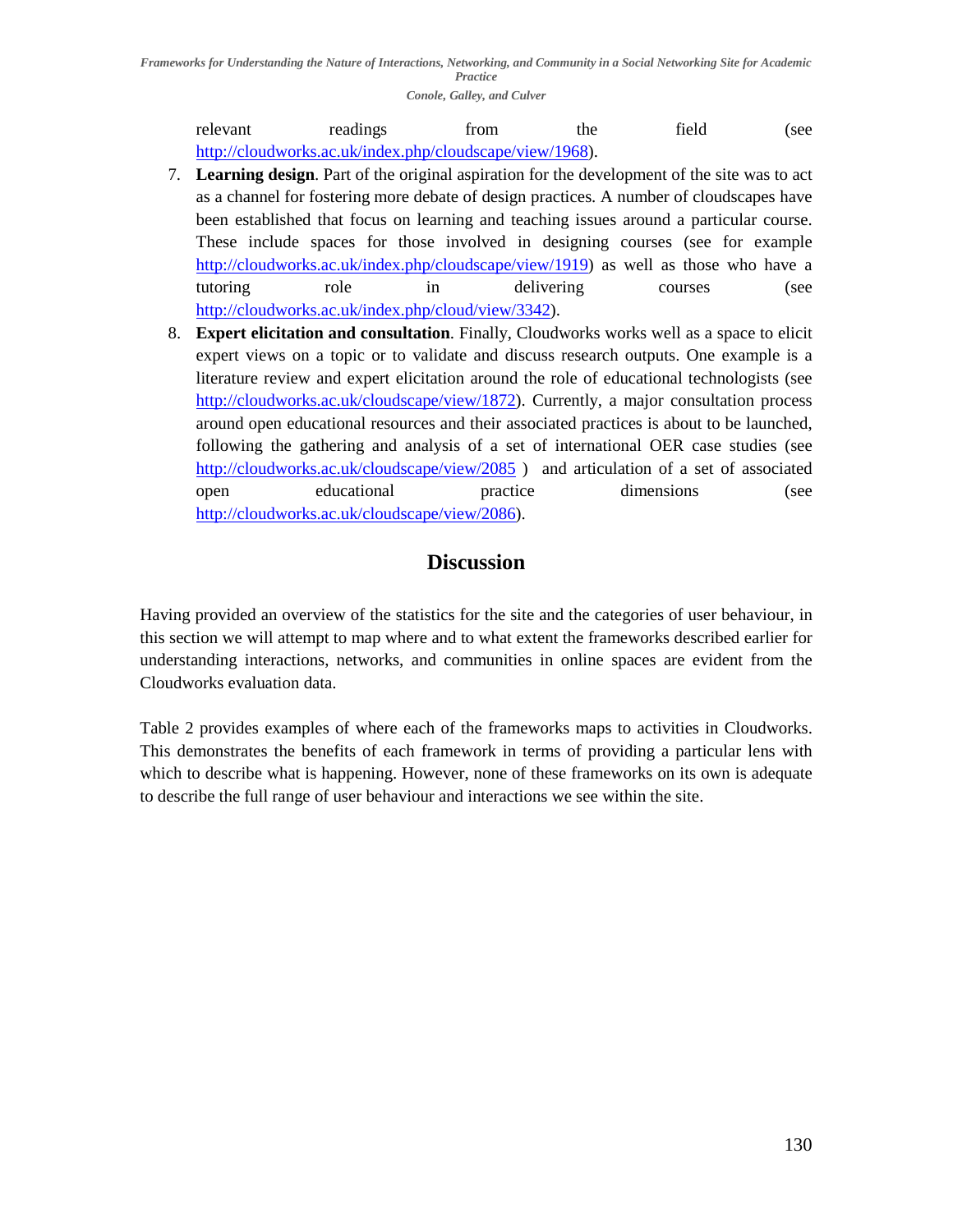relevant readings from the field (see [http://cloudworks.ac.uk/index.php/cloudscape/view/1968\)](http://cloudworks.ac.uk/index.php/cloudscape/view/1968).

- 7. **Learning design**. Part of the original aspiration for the development of the site was to act as a channel for fostering more debate of design practices. A number of cloudscapes have been established that focus on learning and teaching issues around a particular course. These include spaces for those involved in designing courses (see for example [http://cloudworks.ac.uk/index.php/cloudscape/view/1919\)](http://cloudworks.ac.uk/index.php/cloudscape/view/1919) as well as those who have a tutoring role in delivering courses (see [http://cloudworks.ac.uk/index.php/cloud/view/3342\)](http://cloudworks.ac.uk/index.php/cloud/view/3342).
- 8. **Expert elicitation and consultation**. Finally, Cloudworks works well as a space to elicit expert views on a topic or to validate and discuss research outputs. One example is a literature review and expert elicitation around the role of educational technologists (see [http://cloudworks.ac.uk/cloudscape/view/1872\)](http://cloudworks.ac.uk/cloudscape/view/1872). Currently, a major consultation process around open educational resources and their associated practices is about to be launched, following the gathering and analysis of a set of international OER case studies (see <http://cloudworks.ac.uk/cloudscape/view/2085> ) and articulation of a set of associated open educational practice dimensions (see [http://cloudworks.ac.uk/cloudscape/view/2086\)](http://cloudworks.ac.uk/cloudscape/view/2086).

### **Discussion**

Having provided an overview of the statistics for the site and the categories of user behaviour, in this section we will attempt to map where and to what extent the frameworks described earlier for understanding interactions, networks, and communities in online spaces are evident from the Cloudworks evaluation data.

Table 2 provides examples of where each of the frameworks maps to activities in Cloudworks. This demonstrates the benefits of each framework in terms of providing a particular lens with which to describe what is happening. However, none of these frameworks on its own is adequate to describe the full range of user behaviour and interactions we see within the site.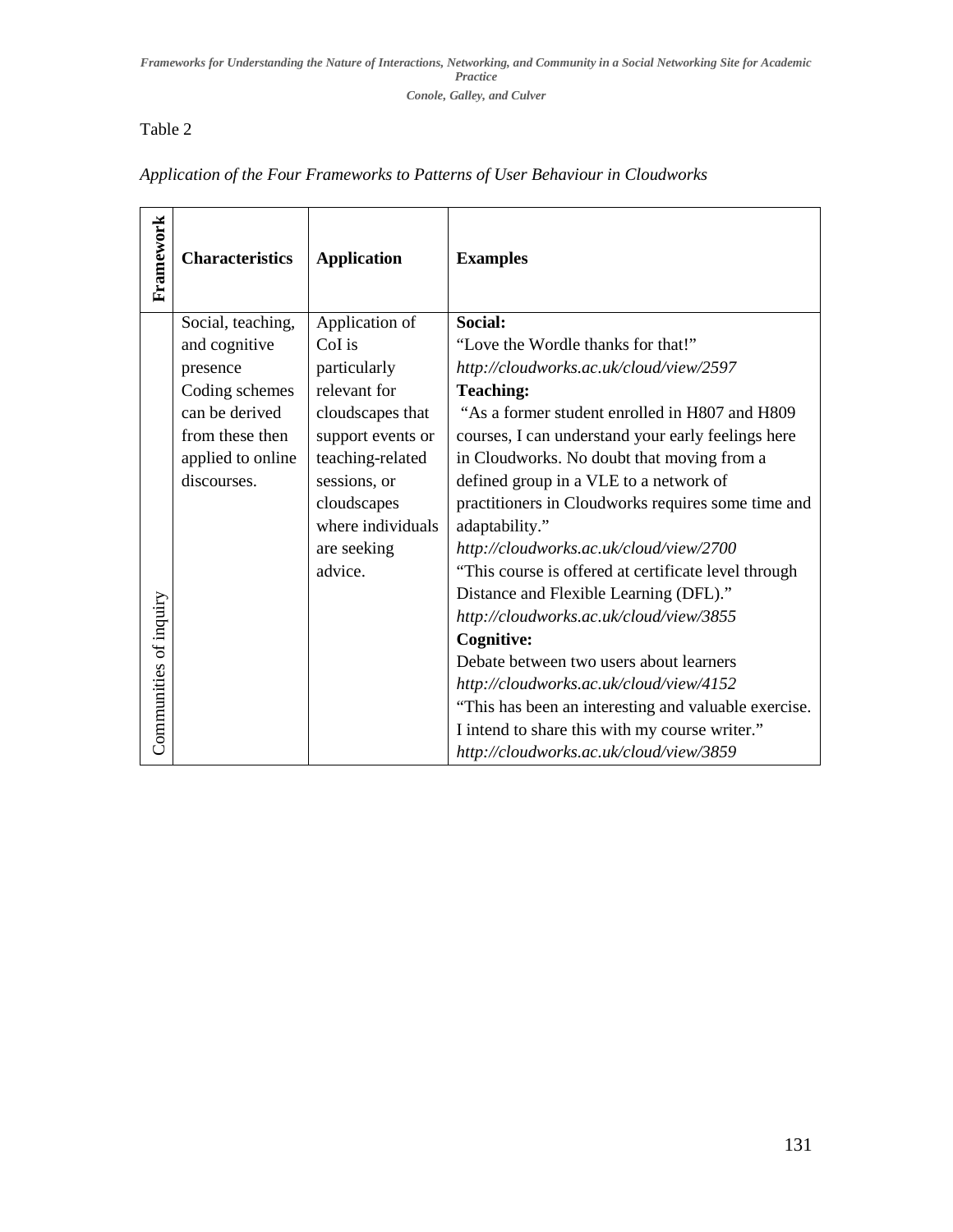#### Table 2

| Framework              | <b>Characteristics</b> | <b>Application</b> | <b>Examples</b>                                      |
|------------------------|------------------------|--------------------|------------------------------------------------------|
|                        | Social, teaching,      | Application of     | Social:                                              |
|                        | and cognitive          | CoI is             | "Love the Wordle thanks for that!"                   |
|                        | presence               | particularly       | http://cloudworks.ac.uk/cloud/view/2597              |
|                        | Coding schemes         | relevant for       | <b>Teaching:</b>                                     |
|                        | can be derived         | cloudscapes that   | "As a former student enrolled in H807 and H809       |
|                        | from these then        | support events or  | courses, I can understand your early feelings here   |
|                        | applied to online      | teaching-related   | in Cloudworks. No doubt that moving from a           |
|                        | discourses.            | sessions, or       | defined group in a VLE to a network of               |
|                        |                        | cloudscapes        | practitioners in Cloudworks requires some time and   |
|                        |                        | where individuals  | adaptability."                                       |
|                        |                        | are seeking        | http://cloudworks.ac.uk/cloud/view/2700              |
|                        |                        | advice.            | "This course is offered at certificate level through |
|                        |                        |                    | Distance and Flexible Learning (DFL)."               |
|                        |                        |                    | http://cloudworks.ac.uk/cloud/view/3855              |
|                        |                        |                    | <b>Cognitive:</b>                                    |
|                        |                        |                    | Debate between two users about learners              |
|                        |                        |                    | http://cloudworks.ac.uk/cloud/view/4152              |
| Communities of inquiry |                        |                    | "This has been an interesting and valuable exercise. |
|                        |                        |                    | I intend to share this with my course writer."       |
|                        |                        |                    | http://cloudworks.ac.uk/cloud/view/3859              |

### *Application of the Four Frameworks to Patterns of User Behaviour in Cloudworks*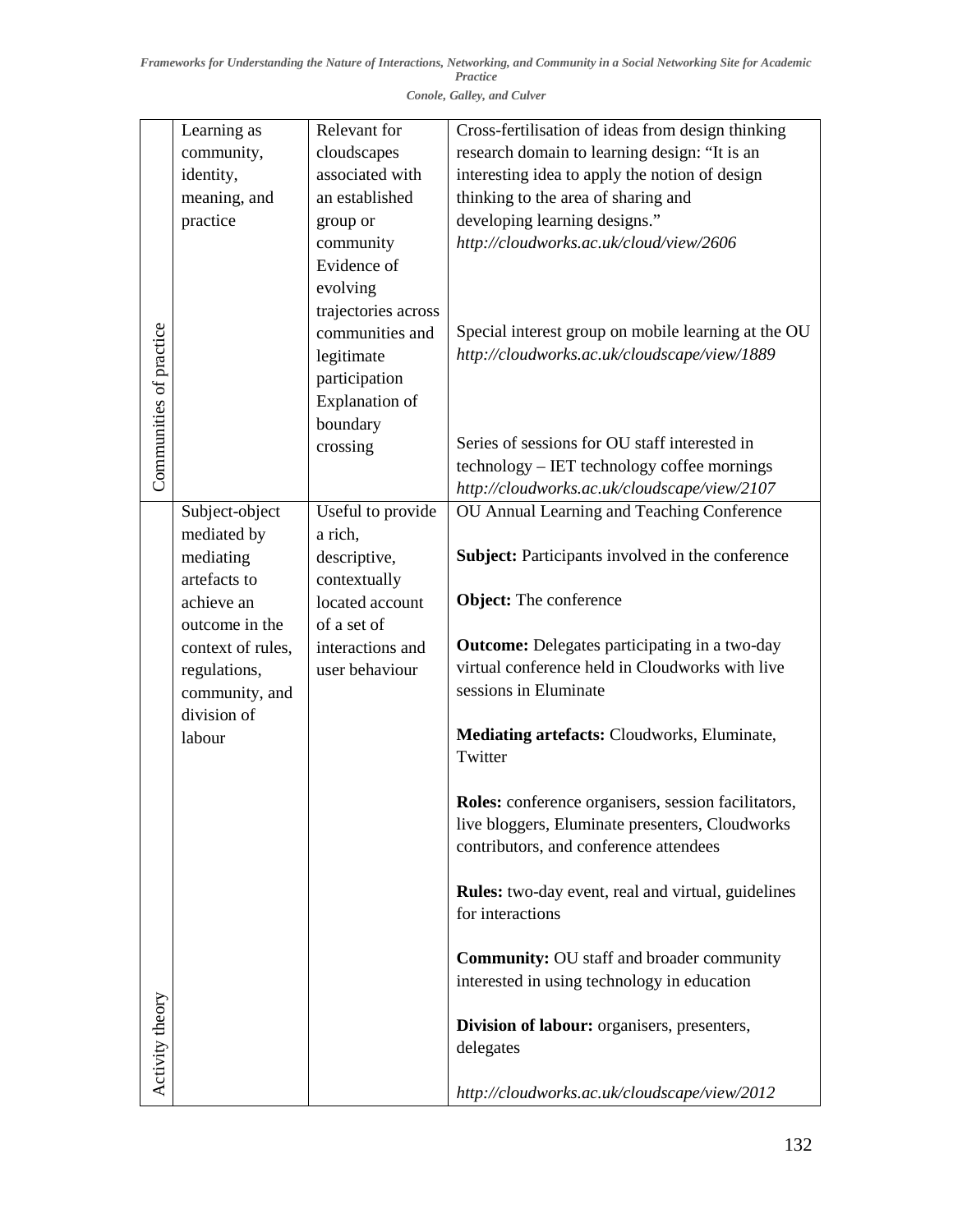Learning as Relevant for Cross-fertilisation of ideas from design thinking community, cloudscapes research domain to learning design: "It is an identity, associated with interesting idea to apply the notion of design meaning, and an established thinking to the area of sharing and practice group or developing learning designs." community *<http://cloudworks.ac.uk/cloud/view/2606>* Evidence of evolving trajectories across Communities of practice Communities of practice Special interest group on mobile learning at the OU communities and *<http://cloudworks.ac.uk/cloudscape/view/1889>* legitimate participation Explanation of boundary Series of sessions for OU staff interested in crossing technology – IET technology coffee mornings *<http://cloudworks.ac.uk/cloudscape/view/2107>* OU Annual Learning and Teaching Conference Subject-object Useful to provide mediated by a rich, **Subject:** Participants involved in the conference mediating descriptive, artefacts to contextually achieve an located account **Object:** The conference outcome in the of a set of interactions and **Outcome:** Delegates participating in a two-day context of rules, virtual conference held in Cloudworks with live regulations, user behaviour sessions in Eluminate community, and division of **Mediating artefacts:** Cloudworks, Eluminate, labour **Twitter Roles:** conference organisers, session facilitators, live bloggers, Eluminate presenters, Cloudworks contributors, and conference attendees **Rules:** two-day event, real and virtual, guidelines for interactions **Community:** OU staff and broader community interested in using technology in education Activity theory Activity theory **Division of labour:** organisers, presenters, delegates *<http://cloudworks.ac.uk/cloudscape/view/2012>*

*Conole, Galley, and Culver*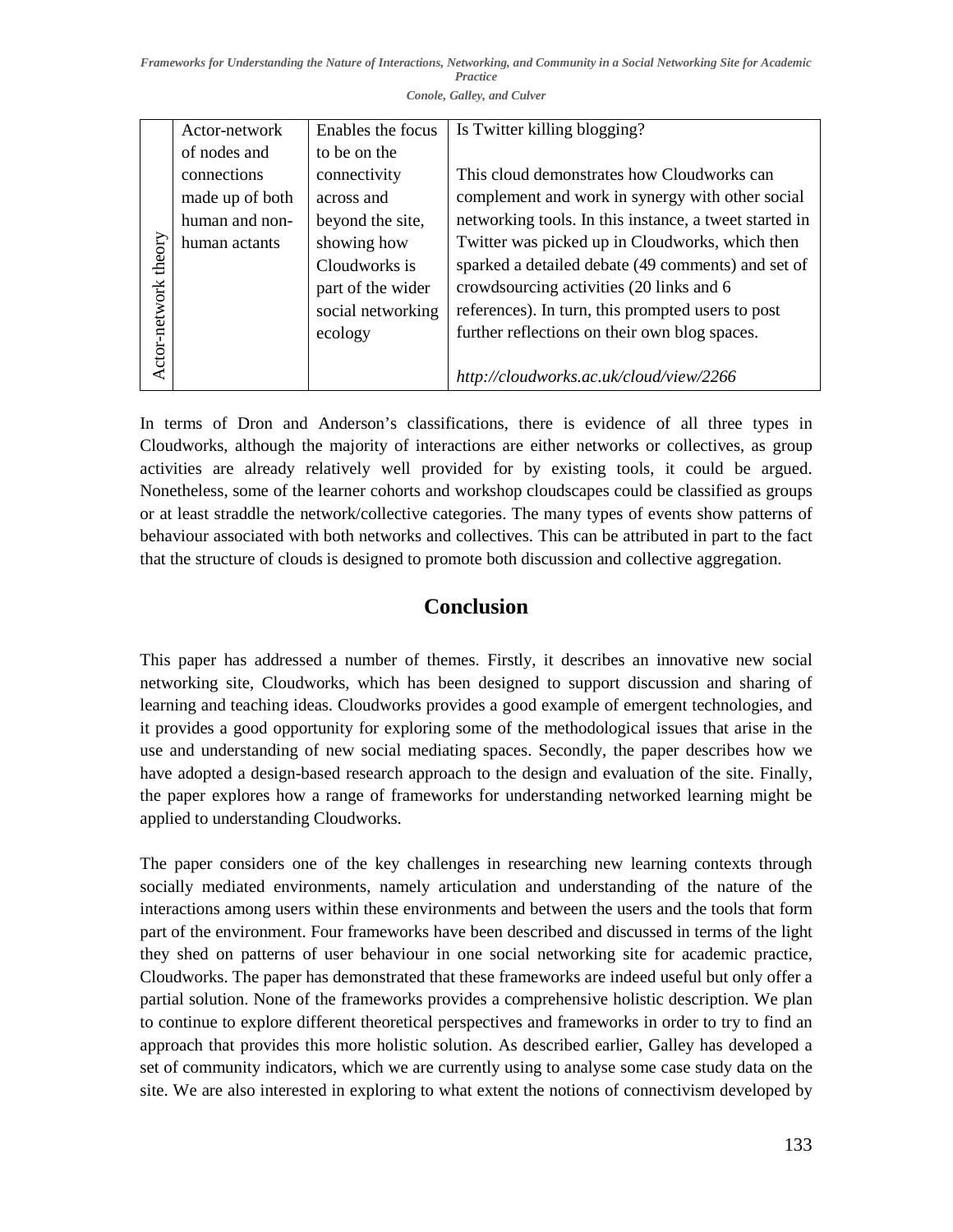|                         | Actor-network   | Enables the focus | Is Twitter killing blogging?                           |
|-------------------------|-----------------|-------------------|--------------------------------------------------------|
| theory<br>Actor-network |                 |                   |                                                        |
|                         | of nodes and    | to be on the      |                                                        |
|                         | connections     | connectivity      | This cloud demonstrates how Cloudworks can             |
|                         | made up of both | across and        | complement and work in synergy with other social       |
|                         | human and non-  | beyond the site,  | networking tools. In this instance, a tweet started in |
|                         | human actants   | showing how       | Twitter was picked up in Cloudworks, which then        |
|                         |                 | Cloudworks is     | sparked a detailed debate (49 comments) and set of     |
|                         |                 | part of the wider | crowdsourcing activities (20 links and 6               |
|                         |                 | social networking | references). In turn, this prompted users to post      |
|                         |                 | ecology           | further reflections on their own blog spaces.          |
|                         |                 |                   |                                                        |
|                         |                 |                   | http://cloudworks.ac.uk/cloud/view/2266                |

In terms of Dron and Anderson's classifications, there is evidence of all three types in Cloudworks, although the majority of interactions are either networks or collectives, as group activities are already relatively well provided for by existing tools, it could be argued. Nonetheless, some of the learner cohorts and workshop cloudscapes could be classified as groups or at least straddle the network/collective categories. The many types of events show patterns of behaviour associated with both networks and collectives. This can be attributed in part to the fact that the structure of clouds is designed to promote both discussion and collective aggregation.

### **Conclusion**

This paper has addressed a number of themes. Firstly, it describes an innovative new social networking site, Cloudworks, which has been designed to support discussion and sharing of learning and teaching ideas. Cloudworks provides a good example of emergent technologies, and it provides a good opportunity for exploring some of the methodological issues that arise in the use and understanding of new social mediating spaces. Secondly, the paper describes how we have adopted a design-based research approach to the design and evaluation of the site. Finally, the paper explores how a range of frameworks for understanding networked learning might be applied to understanding Cloudworks.

The paper considers one of the key challenges in researching new learning contexts through socially mediated environments, namely articulation and understanding of the nature of the interactions among users within these environments and between the users and the tools that form part of the environment. Four frameworks have been described and discussed in terms of the light they shed on patterns of user behaviour in one social networking site for academic practice, Cloudworks. The paper has demonstrated that these frameworks are indeed useful but only offer a partial solution. None of the frameworks provides a comprehensive holistic description. We plan to continue to explore different theoretical perspectives and frameworks in order to try to find an approach that provides this more holistic solution. As described earlier, Galley has developed a set of community indicators, which we are currently using to analyse some case study data on the site. We are also interested in exploring to what extent the notions of connectivism developed by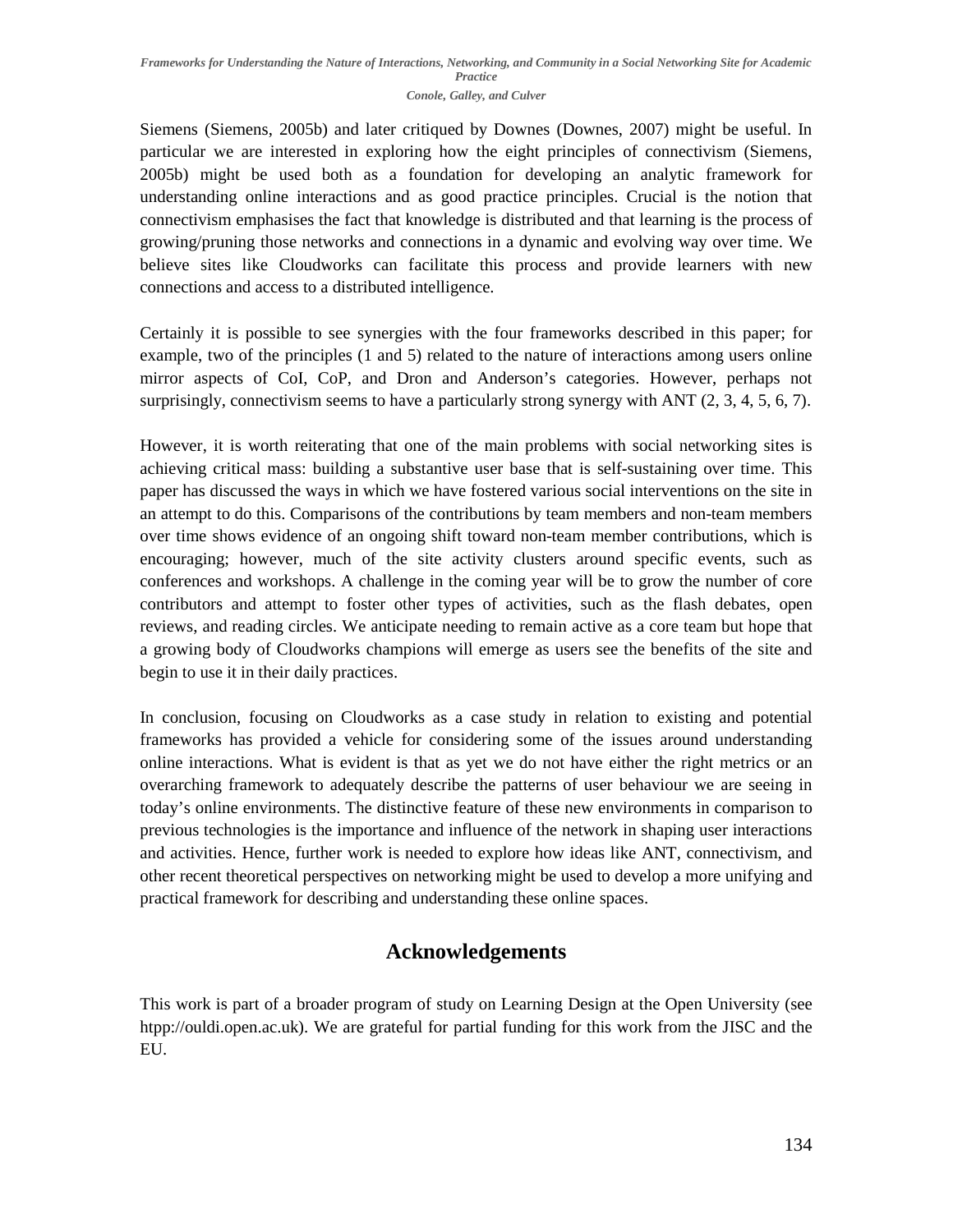Siemens (Siemens, 2005b) and later critiqued by Downes (Downes, 2007) might be useful. In particular we are interested in exploring how the eight principles of connectivism (Siemens, 2005b) might be used both as a foundation for developing an analytic framework for understanding online interactions and as good practice principles. Crucial is the notion that connectivism emphasises the fact that knowledge is distributed and that learning is the process of growing/pruning those networks and connections in a dynamic and evolving way over time. We believe sites like Cloudworks can facilitate this process and provide learners with new connections and access to a distributed intelligence.

Certainly it is possible to see synergies with the four frameworks described in this paper; for example, two of the principles (1 and 5) related to the nature of interactions among users online mirror aspects of CoI, CoP, and Dron and Anderson's categories. However, perhaps not surprisingly, connectivism seems to have a particularly strong synergy with ANT (2, 3, 4, 5, 6, 7).

However, it is worth reiterating that one of the main problems with social networking sites is achieving critical mass: building a substantive user base that is self-sustaining over time. This paper has discussed the ways in which we have fostered various social interventions on the site in an attempt to do this. Comparisons of the contributions by team members and non-team members over time shows evidence of an ongoing shift toward non-team member contributions, which is encouraging; however, much of the site activity clusters around specific events, such as conferences and workshops. A challenge in the coming year will be to grow the number of core contributors and attempt to foster other types of activities, such as the flash debates, open reviews, and reading circles. We anticipate needing to remain active as a core team but hope that a growing body of Cloudworks champions will emerge as users see the benefits of the site and begin to use it in their daily practices.

In conclusion, focusing on Cloudworks as a case study in relation to existing and potential frameworks has provided a vehicle for considering some of the issues around understanding online interactions. What is evident is that as yet we do not have either the right metrics or an overarching framework to adequately describe the patterns of user behaviour we are seeing in today's online environments. The distinctive feature of these new environments in comparison to previous technologies is the importance and influence of the network in shaping user interactions and activities. Hence, further work is needed to explore how ideas like ANT, connectivism, and other recent theoretical perspectives on networking might be used to develop a more unifying and practical framework for describing and understanding these online spaces.

### **Acknowledgements**

This work is part of a broader program of study on Learning Design at the Open University (see htpp://ouldi.open.ac.uk). We are grateful for partial funding for this work from the JISC and the EU.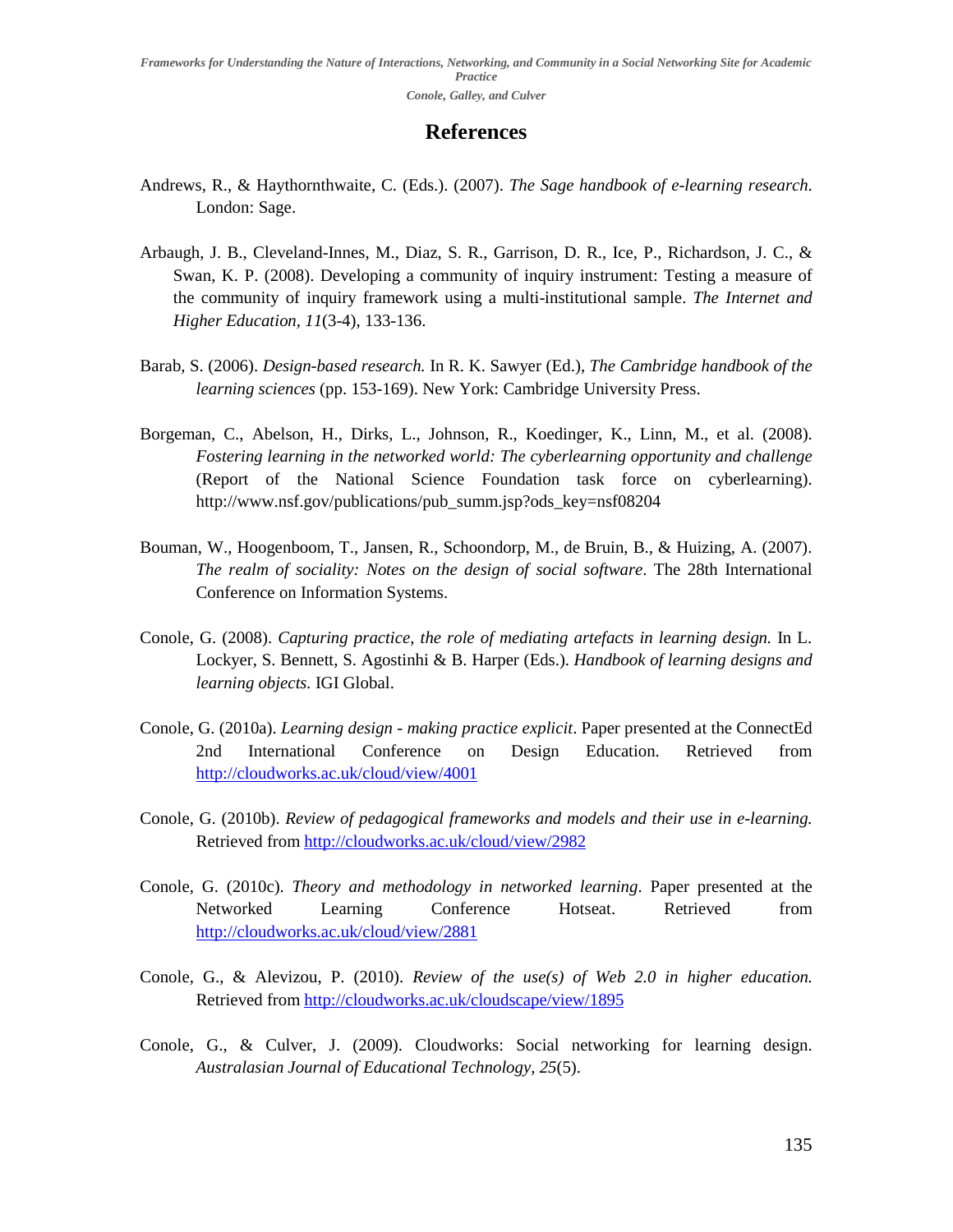#### **References**

- Andrews, R., & Haythornthwaite, C. (Eds.). (2007). *The Sage handbook of e-learning research*. London: Sage.
- Arbaugh, J. B., Cleveland-Innes, M., Diaz, S. R., Garrison, D. R., Ice, P., Richardson, J. C., & Swan, K. P. (2008). Developing a community of inquiry instrument: Testing a measure of the community of inquiry framework using a multi-institutional sample. *The Internet and Higher Education, 11*(3-4), 133-136.
- Barab, S. (2006). *Design-based research.* In R. K. Sawyer (Ed.), *The Cambridge handbook of the learning sciences* (pp. 153-169). New York: Cambridge University Press.
- Borgeman, C., Abelson, H., Dirks, L., Johnson, R., Koedinger, K., Linn, M., et al. (2008). *Fostering learning in the networked world: The cyberlearning opportunity and challenge*  (Report of the National Science Foundation task force on cyberlearning). http://www.nsf.gov/publications/pub\_summ.jsp?ods\_key=nsf08204
- Bouman, W., Hoogenboom, T., Jansen, R., Schoondorp, M., de Bruin, B., & Huizing, A. (2007). *The realm of sociality: Notes on the design of social software*. The 28th International Conference on Information Systems.
- Conole, G. (2008). *Capturing practice, the role of mediating artefacts in learning design.* In L. Lockyer, S. Bennett, S. Agostinhi & B. Harper (Eds.). *Handbook of learning designs and learning objects.* IGI Global.
- Conole, G. (2010a). *Learning design - making practice explicit*. Paper presented at the ConnectEd 2nd International Conference on Design Education. Retrieved from <http://cloudworks.ac.uk/cloud/view/4001>
- Conole, G. (2010b). *Review of pedagogical frameworks and models and their use in e-learning.* Retrieved fro[m http://cloudworks.ac.uk/cloud/view/2982](http://cloudworks.ac.uk/cloud/view/2982)
- Conole, G. (2010c). *Theory and methodology in networked learning*. Paper presented at the Networked Learning Conference Hotseat. Retrieved from <http://cloudworks.ac.uk/cloud/view/2881>
- Conole, G., & Alevizou, P. (2010). *Review of the use(s) of Web 2.0 in higher education.* Retrieved fro[m http://cloudworks.ac.uk/cloudscape/view/1895](http://cloudworks.ac.uk/cloudscape/view/1895)
- Conole, G., & Culver, J. (2009). Cloudworks: Social networking for learning design. *Australasian Journal of Educational Technology, 25*(5).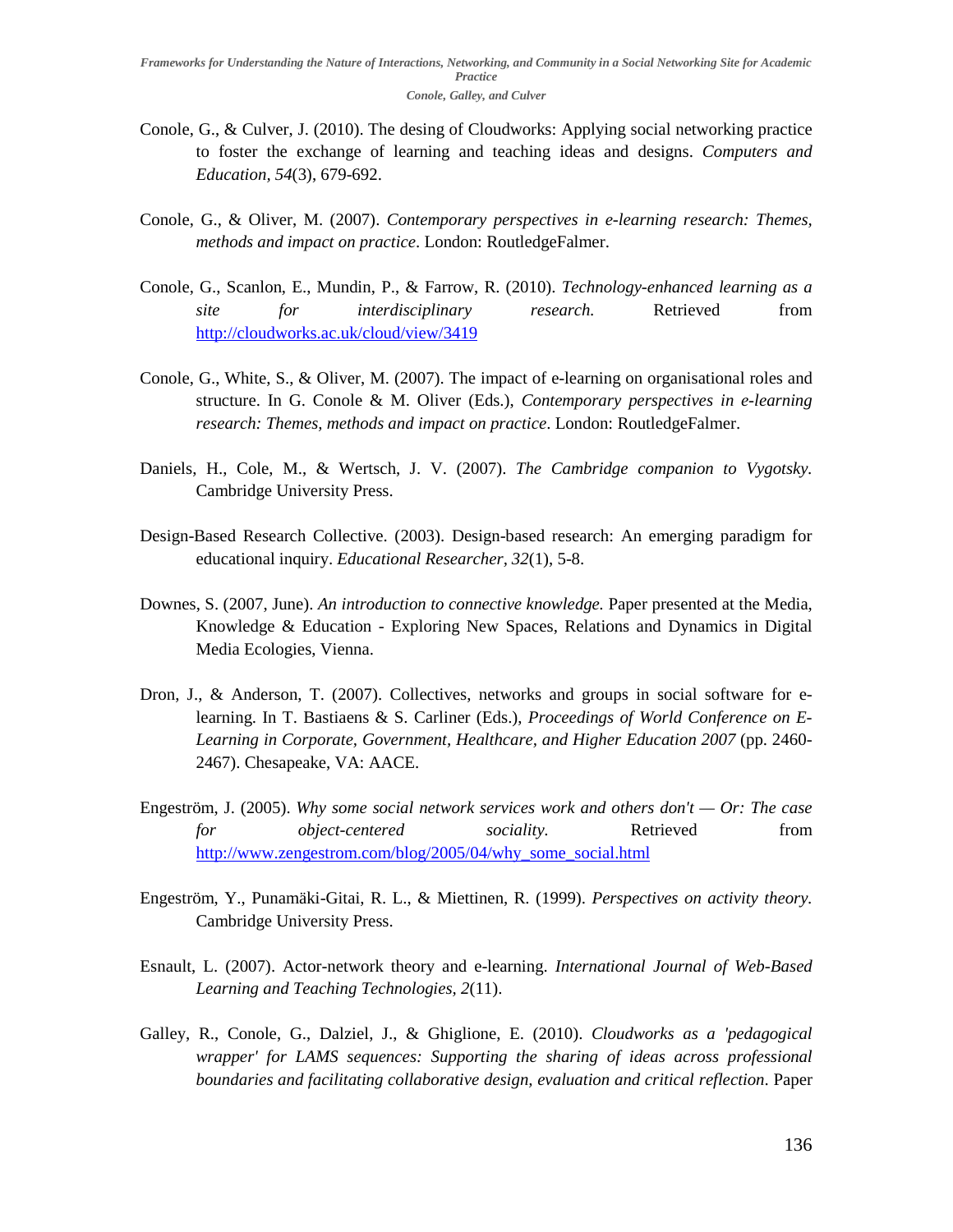- Conole, G., & Culver, J. (2010). The desing of Cloudworks: Applying social networking practice to foster the exchange of learning and teaching ideas and designs. *Computers and Education, 54*(3), 679-692.
- Conole, G., & Oliver, M. (2007). *Contemporary perspectives in e-learning research: Themes, methods and impact on practice*. London: RoutledgeFalmer.
- Conole, G., Scanlon, E., Mundin, P., & Farrow, R. (2010). *Technology-enhanced learning as a site for interdisciplinary research.* Retrieved from <http://cloudworks.ac.uk/cloud/view/3419>
- Conole, G., White, S., & Oliver, M. (2007). The impact of e-learning on organisational roles and structure. In G. Conole & M. Oliver (Eds.), *Contemporary perspectives in e-learning research: Themes, methods and impact on practice*. London: RoutledgeFalmer.
- Daniels, H., Cole, M., & Wertsch, J. V. (2007). *The Cambridge companion to Vygotsky.*  Cambridge University Press.
- Design-Based Research Collective. (2003). Design-based research: An emerging paradigm for educational inquiry. *Educational Researcher, 32*(1), 5-8.
- Downes, S. (2007, June). *An introduction to connective knowledge.* Paper presented at the Media, Knowledge & Education - Exploring New Spaces, Relations and Dynamics in Digital Media Ecologies, Vienna.
- Dron, J., & Anderson, T. (2007). Collectives, networks and groups in social software for elearning. In T. Bastiaens & S. Carliner (Eds.), *Proceedings of World Conference on E-*Learning in Corporate, Government, Healthcare, and Higher Education 2007 (pp. 2460-2467). Chesapeake, VA: AACE.
- Engeström, J. (2005). *Why some social network services work and others don't — Or: The case for object-centered sociality.* Retrieved from [http://www.zengestrom.com/blog/2005/04/why\\_some\\_social.html](http://www.zengestrom.com/blog/2005/04/why_some_social.html)
- Engeström, Y., Punamäki-Gitai, R. L., & Miettinen, R. (1999). *Perspectives on activity theory.* Cambridge University Press.
- Esnault, L. (2007). Actor-network theory and e-learning. *International Journal of Web-Based Learning and Teaching Technologies, 2*(11).
- Galley, R., Conole, G., Dalziel, J., & Ghiglione, E. (2010). *Cloudworks as a 'pedagogical wrapper' for LAMS sequences: Supporting the sharing of ideas across professional boundaries and facilitating collaborative design, evaluation and critical reflection*. Paper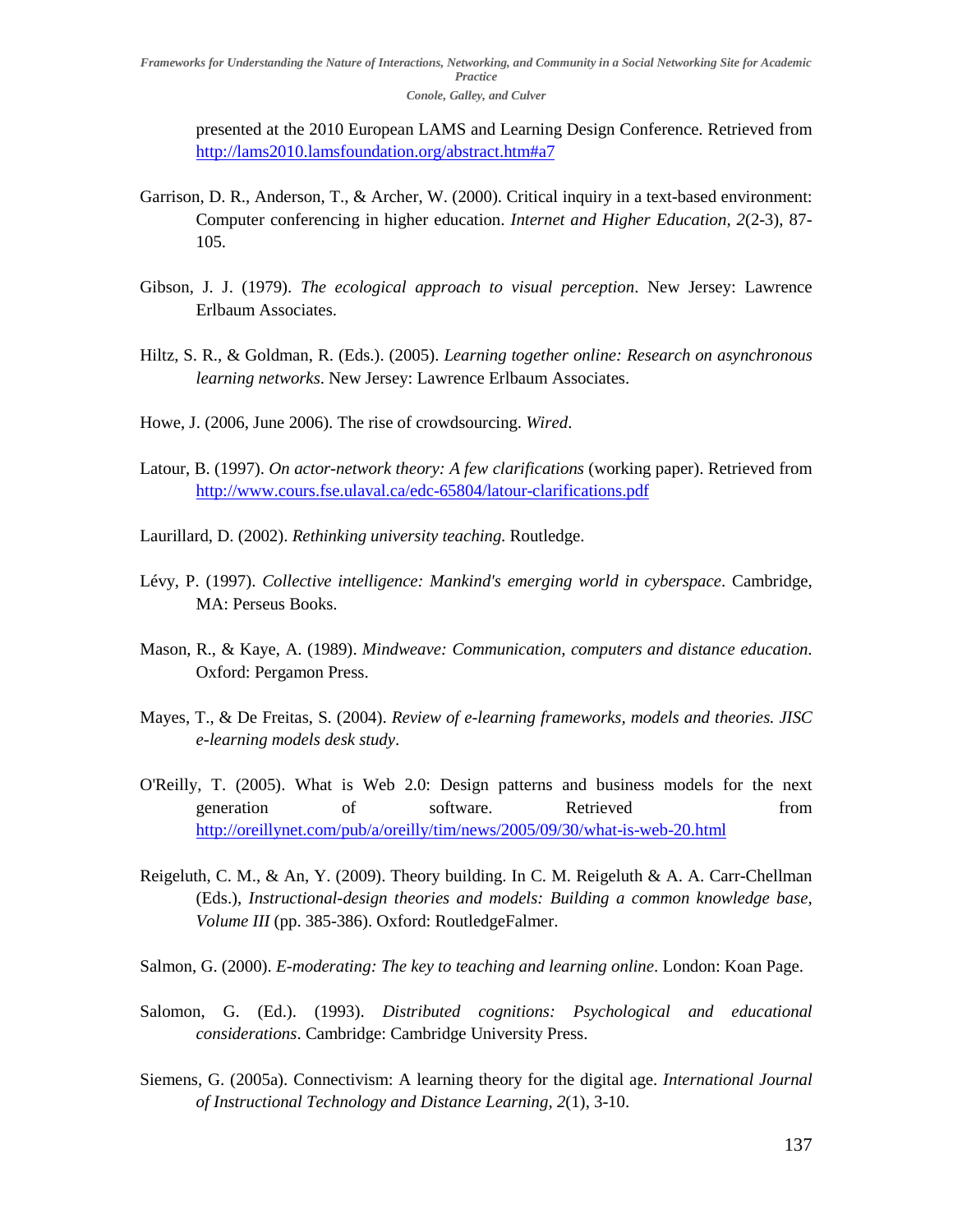presented at the 2010 European LAMS and Learning Design Conference. Retrieved from <http://lams2010.lamsfoundation.org/abstract.htm#a7>

- Garrison, D. R., Anderson, T., & Archer, W. (2000). Critical inquiry in a text-based environment: Computer conferencing in higher education. *Internet and Higher Education, 2*(2-3), 87- 105.
- Gibson, J. J. (1979). *The ecological approach to visual perception*. New Jersey: Lawrence Erlbaum Associates.
- Hiltz, S. R., & Goldman, R. (Eds.). (2005). *Learning together online: Research on asynchronous learning networks*. New Jersey: Lawrence Erlbaum Associates.
- Howe, J. (2006, June 2006). The rise of crowdsourcing. *Wired*.
- Latour, B. (1997). *On actor-network theory: A few clarifications* (working paper). Retrieved from <http://www.cours.fse.ulaval.ca/edc-65804/latour-clarifications.pdf>
- Laurillard, D. (2002). *Rethinking university teaching.* Routledge.
- Lévy, P. (1997). *Collective intelligence: Mankind's emerging world in cyberspace*. Cambridge, MA: Perseus Books.
- Mason, R., & Kaye, A. (1989). *Mindweave: Communication, computers and distance education*. Oxford: Pergamon Press.
- Mayes, T., & De Freitas, S. (2004). *Review of e-learning frameworks, models and theories. JISC e-learning models desk study*.
- O'Reilly, T. (2005). What is Web 2.0: Design patterns and business models for the next generation of software. Retrieved from <http://oreillynet.com/pub/a/oreilly/tim/news/2005/09/30/what-is-web-20.html>
- Reigeluth, C. M., & An, Y. (2009). Theory building. In C. M. Reigeluth & A. A. Carr-Chellman (Eds.), *Instructional-design theories and models: Building a common knowledge base, Volume III* (pp. 385-386). Oxford: RoutledgeFalmer.
- Salmon, G. (2000). *E-moderating: The key to teaching and learning online*. London: Koan Page.
- Salomon, G. (Ed.). (1993). *Distributed cognitions: Psychological and educational considerations*. Cambridge: Cambridge University Press.
- Siemens, G. (2005a). Connectivism: A learning theory for the digital age. *International Journal of Instructional Technology and Distance Learning, 2*(1), 3-10.